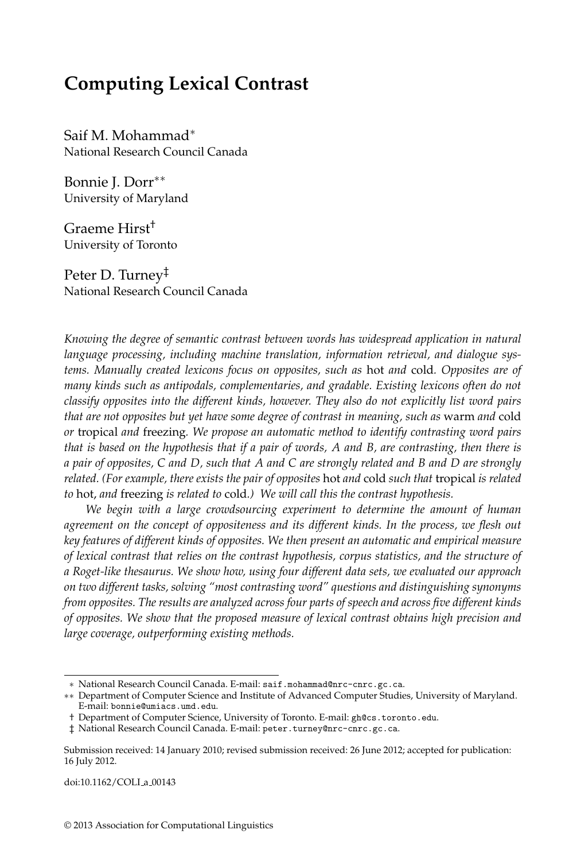# **Computing Lexical Contrast**

Saif M. Mohammad∗ National Research Council Canada

Bonnie J. Dorr∗∗ University of Maryland

Graeme Hirst† University of Toronto

Peter D. Turney‡ National Research Council Canada

*Knowing the degree of semantic contrast between words has widespread application in natural language processing, including machine translation, information retrieval, and dialogue systems. Manually created lexicons focus on opposites, such as* hot *and* cold*. Opposites are of many kinds such as antipodals, complementaries, and gradable. Existing lexicons often do not classify opposites into the different kinds, however. They also do not explicitly list word pairs that are not opposites but yet have some degree of contrast in meaning, such as* warm *and* cold *or* tropical *and* freezing*. We propose an automatic method to identify contrasting word pairs that is based on the hypothesis that if a pair of words, A and B, are contrasting, then there is a pair of opposites, C and D, such that A and C are strongly related and B and D are strongly related. (For example, there exists the pair of opposites* hot *and* cold *such that* tropical *is related to* hot, *and* freezing *is related to* cold*.) We will call this the contrast hypothesis.*

*We begin with a large crowdsourcing experiment to determine the amount of human agreement on the concept of oppositeness and its different kinds. In the process, we flesh out key features of different kinds of opposites. We then present an automatic and empirical measure of lexical contrast that relies on the contrast hypothesis, corpus statistics, and the structure of a Roget-like thesaurus. We show how, using four different data sets, we evaluated our approach on two different tasks, solving "most contrasting word" questions and distinguishing synonyms from opposites. The results are analyzed across four parts of speech and across five different kinds of opposites. We show that the proposed measure of lexical contrast obtains high precision and large coverage, outperforming existing methods.*

doi:10.1162/COLI a 00143

<sup>∗</sup> National Research Council Canada. E-mail: saif.mohammad@nrc-cnrc.gc.ca.

<sup>∗∗</sup> Department of Computer Science and Institute of Advanced Computer Studies, University of Maryland. E-mail: bonnie@umiacs.umd.edu.

<sup>†</sup> Department of Computer Science, University of Toronto. E-mail: gh@cs.toronto.edu.

<sup>‡</sup> National Research Council Canada. E-mail: peter.turney@nrc-cnrc.gc.ca.

Submission received: 14 January 2010; revised submission received: 26 June 2012; accepted for publication: 16 July 2012.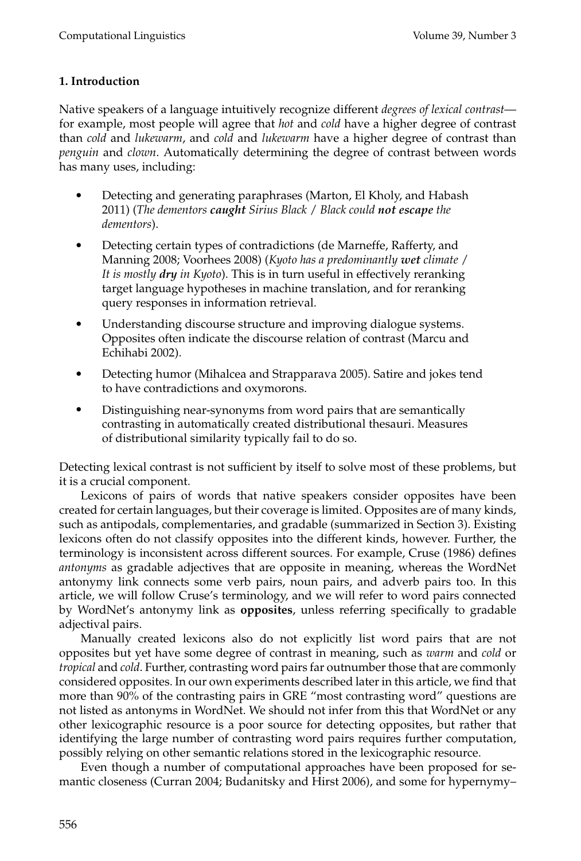## **1. Introduction**

Native speakers of a language intuitively recognize different *degrees of lexical contrast* for example, most people will agree that *hot* and *cold* have a higher degree of contrast than *cold* and *lukewarm*, and *cold* and *lukewarm* have a higher degree of contrast than *penguin* and *clown*. Automatically determining the degree of contrast between words has many uses, including:

- Detecting and generating paraphrases (Marton, El Kholy, and Habash 2011) (*The dementors caught Sirius Black* / *Black could not escape the dementors*).
- Detecting certain types of contradictions (de Marneffe, Rafferty, and Manning 2008; Voorhees 2008) (*Kyoto has a predominantly wet climate* / *It is mostly dry in Kyoto*). This is in turn useful in effectively reranking target language hypotheses in machine translation, and for reranking query responses in information retrieval.
- Understanding discourse structure and improving dialogue systems. Opposites often indicate the discourse relation of contrast (Marcu and Echihabi 2002).
- Detecting humor (Mihalcea and Strapparava 2005). Satire and jokes tend to have contradictions and oxymorons.
- Distinguishing near-synonyms from word pairs that are semantically contrasting in automatically created distributional thesauri. Measures of distributional similarity typically fail to do so.

Detecting lexical contrast is not sufficient by itself to solve most of these problems, but it is a crucial component.

Lexicons of pairs of words that native speakers consider opposites have been created for certain languages, but their coverage is limited. Opposites are of many kinds, such as antipodals, complementaries, and gradable (summarized in Section 3). Existing lexicons often do not classify opposites into the different kinds, however. Further, the terminology is inconsistent across different sources. For example, Cruse (1986) defines *antonyms* as gradable adjectives that are opposite in meaning, whereas the WordNet antonymy link connects some verb pairs, noun pairs, and adverb pairs too. In this article, we will follow Cruse's terminology, and we will refer to word pairs connected by WordNet's antonymy link as **opposites**, unless referring specifically to gradable adjectival pairs.

Manually created lexicons also do not explicitly list word pairs that are not opposites but yet have some degree of contrast in meaning, such as *warm* and *cold* or *tropical* and *cold*. Further, contrasting word pairs far outnumber those that are commonly considered opposites. In our own experiments described later in this article, we find that more than 90% of the contrasting pairs in GRE "most contrasting word" questions are not listed as antonyms in WordNet. We should not infer from this that WordNet or any other lexicographic resource is a poor source for detecting opposites, but rather that identifying the large number of contrasting word pairs requires further computation, possibly relying on other semantic relations stored in the lexicographic resource.

Even though a number of computational approaches have been proposed for semantic closeness (Curran 2004; Budanitsky and Hirst 2006), and some for hypernymy–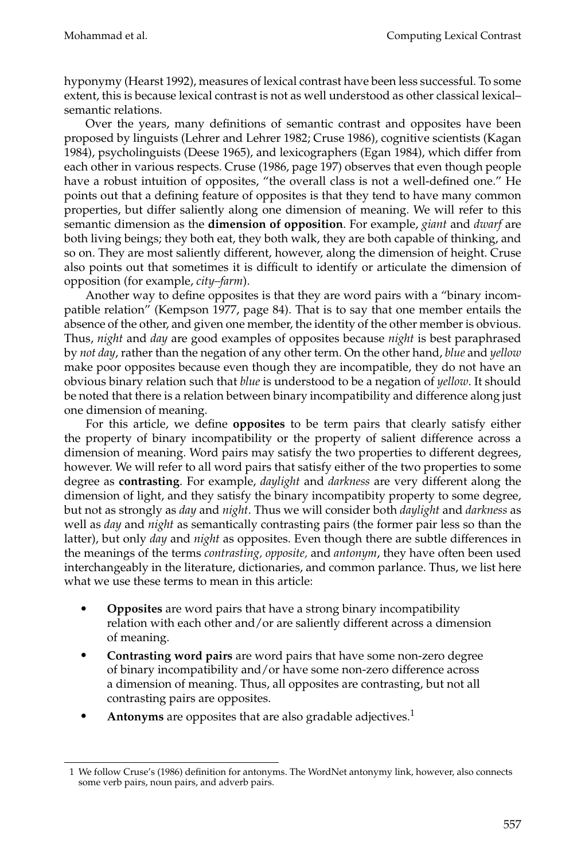hyponymy (Hearst 1992), measures of lexical contrast have been less successful. To some extent, this is because lexical contrast is not as well understood as other classical lexical– semantic relations.

Over the years, many definitions of semantic contrast and opposites have been proposed by linguists (Lehrer and Lehrer 1982; Cruse 1986), cognitive scientists (Kagan 1984), psycholinguists (Deese 1965), and lexicographers (Egan 1984), which differ from each other in various respects. Cruse (1986, page 197) observes that even though people have a robust intuition of opposites, "the overall class is not a well-defined one." He points out that a defining feature of opposites is that they tend to have many common properties, but differ saliently along one dimension of meaning. We will refer to this semantic dimension as the **dimension of opposition**. For example, *giant* and *dwarf* are both living beings; they both eat, they both walk, they are both capable of thinking, and so on. They are most saliently different, however, along the dimension of height. Cruse also points out that sometimes it is difficult to identify or articulate the dimension of opposition (for example, *city–farm*).

Another way to define opposites is that they are word pairs with a "binary incompatible relation" (Kempson 1977, page 84). That is to say that one member entails the absence of the other, and given one member, the identity of the other member is obvious. Thus, *night* and *day* are good examples of opposites because *night* is best paraphrased by *not day*, rather than the negation of any other term. On the other hand, *blue* and *yellow* make poor opposites because even though they are incompatible, they do not have an obvious binary relation such that *blue* is understood to be a negation of *yellow*. It should be noted that there is a relation between binary incompatibility and difference along just one dimension of meaning.

For this article, we define **opposites** to be term pairs that clearly satisfy either the property of binary incompatibility or the property of salient difference across a dimension of meaning. Word pairs may satisfy the two properties to different degrees, however. We will refer to all word pairs that satisfy either of the two properties to some degree as **contrasting**. For example, *daylight* and *darkness* are very different along the dimension of light, and they satisfy the binary incompatibity property to some degree, but not as strongly as *day* and *night*. Thus we will consider both *daylight* and *darkness* as well as *day* and *night* as semantically contrasting pairs (the former pair less so than the latter), but only *day* and *night* as opposites. Even though there are subtle differences in the meanings of the terms *contrasting, opposite,* and *antonym*, they have often been used interchangeably in the literature, dictionaries, and common parlance. Thus, we list here what we use these terms to mean in this article:

- **Opposites** are word pairs that have a strong binary incompatibility relation with each other and/or are saliently different across a dimension of meaning.
- **Contrasting word pairs** are word pairs that have some non-zero degree of binary incompatibility and/or have some non-zero difference across a dimension of meaning. Thus, all opposites are contrasting, but not all contrasting pairs are opposites.
- **Antonyms** are opposites that are also gradable adjectives.1

<sup>1</sup> We follow Cruse's (1986) definition for antonyms. The WordNet antonymy link, however, also connects some verb pairs, noun pairs, and adverb pairs.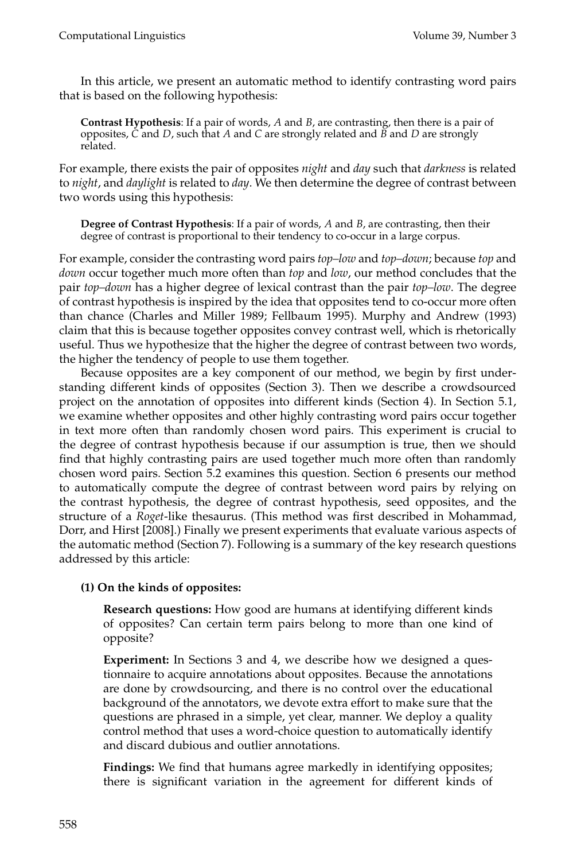In this article, we present an automatic method to identify contrasting word pairs that is based on the following hypothesis:

**Contrast Hypothesis**: If a pair of words, *A* and *B*, are contrasting, then there is a pair of opposites, *C* and *D*, such that *A* and *C* are strongly related and *B* and *D* are strongly related.

For example, there exists the pair of opposites *night* and *day* such that *darkness* is related to *night*, and *daylight* is related to *day*. We then determine the degree of contrast between two words using this hypothesis:

**Degree of Contrast Hypothesis**: If a pair of words, *A* and *B*, are contrasting, then their degree of contrast is proportional to their tendency to co-occur in a large corpus.

For example, consider the contrasting word pairs *top–low* and *top–down*; because *top* and *down* occur together much more often than *top* and *low*, our method concludes that the pair *top–down* has a higher degree of lexical contrast than the pair *top–low*. The degree of contrast hypothesis is inspired by the idea that opposites tend to co-occur more often than chance (Charles and Miller 1989; Fellbaum 1995). Murphy and Andrew (1993) claim that this is because together opposites convey contrast well, which is rhetorically useful. Thus we hypothesize that the higher the degree of contrast between two words, the higher the tendency of people to use them together.

Because opposites are a key component of our method, we begin by first understanding different kinds of opposites (Section 3). Then we describe a crowdsourced project on the annotation of opposites into different kinds (Section 4). In Section 5.1, we examine whether opposites and other highly contrasting word pairs occur together in text more often than randomly chosen word pairs. This experiment is crucial to the degree of contrast hypothesis because if our assumption is true, then we should find that highly contrasting pairs are used together much more often than randomly chosen word pairs. Section 5.2 examines this question. Section 6 presents our method to automatically compute the degree of contrast between word pairs by relying on the contrast hypothesis, the degree of contrast hypothesis, seed opposites, and the structure of a *Roget*-like thesaurus. (This method was first described in Mohammad, Dorr, and Hirst [2008].) Finally we present experiments that evaluate various aspects of the automatic method (Section 7). Following is a summary of the key research questions addressed by this article:

## **(1) On the kinds of opposites:**

**Research questions:** How good are humans at identifying different kinds of opposites? Can certain term pairs belong to more than one kind of opposite?

**Experiment:** In Sections 3 and 4, we describe how we designed a questionnaire to acquire annotations about opposites. Because the annotations are done by crowdsourcing, and there is no control over the educational background of the annotators, we devote extra effort to make sure that the questions are phrased in a simple, yet clear, manner. We deploy a quality control method that uses a word-choice question to automatically identify and discard dubious and outlier annotations.

**Findings:** We find that humans agree markedly in identifying opposites; there is significant variation in the agreement for different kinds of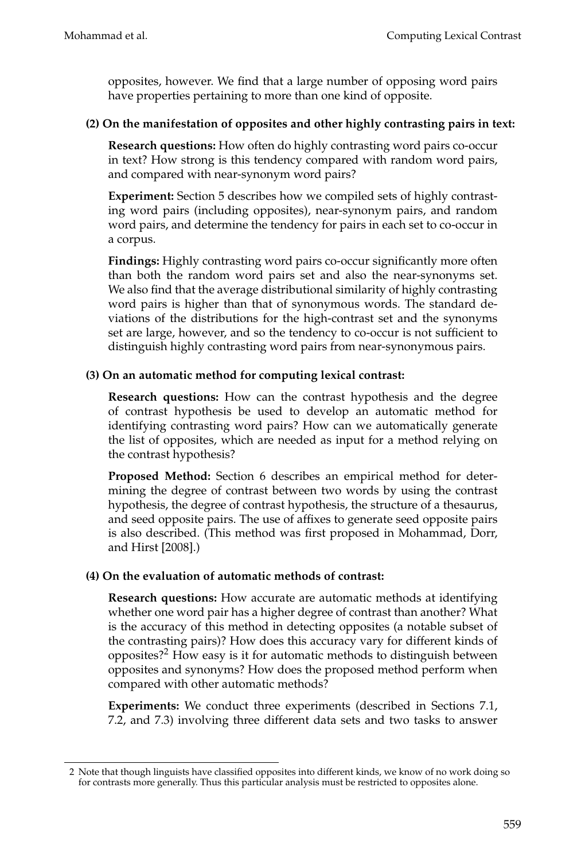opposites, however. We find that a large number of opposing word pairs have properties pertaining to more than one kind of opposite.

## **(2) On the manifestation of opposites and other highly contrasting pairs in text:**

**Research questions:** How often do highly contrasting word pairs co-occur in text? How strong is this tendency compared with random word pairs, and compared with near-synonym word pairs?

**Experiment:** Section 5 describes how we compiled sets of highly contrasting word pairs (including opposites), near-synonym pairs, and random word pairs, and determine the tendency for pairs in each set to co-occur in a corpus.

**Findings:** Highly contrasting word pairs co-occur significantly more often than both the random word pairs set and also the near-synonyms set. We also find that the average distributional similarity of highly contrasting word pairs is higher than that of synonymous words. The standard deviations of the distributions for the high-contrast set and the synonyms set are large, however, and so the tendency to co-occur is not sufficient to distinguish highly contrasting word pairs from near-synonymous pairs.

## **(3) On an automatic method for computing lexical contrast:**

**Research questions:** How can the contrast hypothesis and the degree of contrast hypothesis be used to develop an automatic method for identifying contrasting word pairs? How can we automatically generate the list of opposites, which are needed as input for a method relying on the contrast hypothesis?

**Proposed Method:** Section 6 describes an empirical method for determining the degree of contrast between two words by using the contrast hypothesis, the degree of contrast hypothesis, the structure of a thesaurus, and seed opposite pairs. The use of affixes to generate seed opposite pairs is also described. (This method was first proposed in Mohammad, Dorr, and Hirst [2008].)

## **(4) On the evaluation of automatic methods of contrast:**

**Research questions:** How accurate are automatic methods at identifying whether one word pair has a higher degree of contrast than another? What is the accuracy of this method in detecting opposites (a notable subset of the contrasting pairs)? How does this accuracy vary for different kinds of opposites?2 How easy is it for automatic methods to distinguish between opposites and synonyms? How does the proposed method perform when compared with other automatic methods?

**Experiments:** We conduct three experiments (described in Sections 7.1, 7.2, and 7.3) involving three different data sets and two tasks to answer

<sup>2</sup> Note that though linguists have classified opposites into different kinds, we know of no work doing so for contrasts more generally. Thus this particular analysis must be restricted to opposites alone.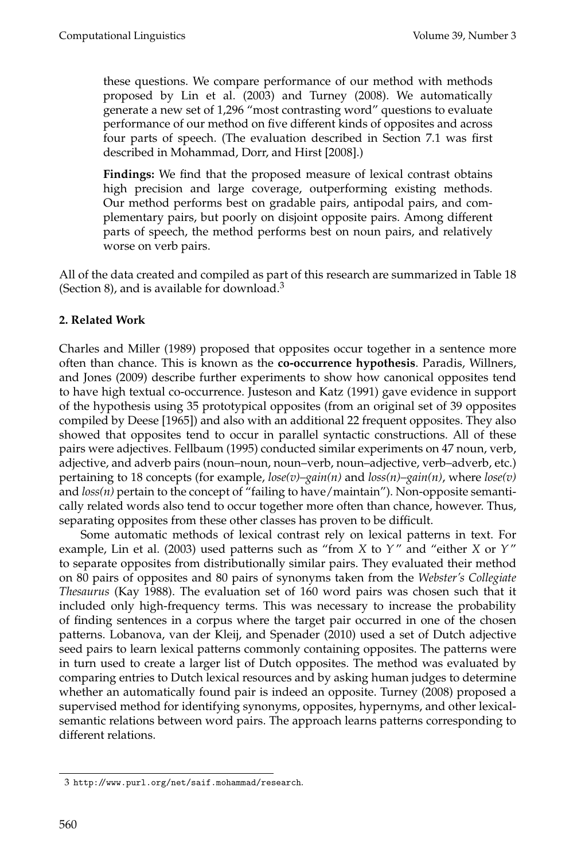these questions. We compare performance of our method with methods proposed by Lin et al. (2003) and Turney (2008). We automatically generate a new set of 1,296 "most contrasting word" questions to evaluate performance of our method on five different kinds of opposites and across four parts of speech. (The evaluation described in Section 7.1 was first described in Mohammad, Dorr, and Hirst [2008].)

**Findings:** We find that the proposed measure of lexical contrast obtains high precision and large coverage, outperforming existing methods. Our method performs best on gradable pairs, antipodal pairs, and complementary pairs, but poorly on disjoint opposite pairs. Among different parts of speech, the method performs best on noun pairs, and relatively worse on verb pairs.

All of the data created and compiled as part of this research are summarized in Table 18 (Section 8), and is available for download.<sup>3</sup>

## **2. Related Work**

Charles and Miller (1989) proposed that opposites occur together in a sentence more often than chance. This is known as the **co-occurrence hypothesis**. Paradis, Willners, and Jones (2009) describe further experiments to show how canonical opposites tend to have high textual co-occurrence. Justeson and Katz (1991) gave evidence in support of the hypothesis using 35 prototypical opposites (from an original set of 39 opposites compiled by Deese [1965]) and also with an additional 22 frequent opposites. They also showed that opposites tend to occur in parallel syntactic constructions. All of these pairs were adjectives. Fellbaum (1995) conducted similar experiments on 47 noun, verb, adjective, and adverb pairs (noun–noun, noun–verb, noun–adjective, verb–adverb, etc.) pertaining to 18 concepts (for example, *lose(v)–gain(n)* and *loss(n)–gain(n)*, where *lose(v)* and *loss(n)* pertain to the concept of "failing to have/maintain"). Non-opposite semantically related words also tend to occur together more often than chance, however. Thus, separating opposites from these other classes has proven to be difficult.

Some automatic methods of lexical contrast rely on lexical patterns in text. For example, Lin et al. (2003) used patterns such as "from *X* to *Y*" and "either *X* or *Y*" to separate opposites from distributionally similar pairs. They evaluated their method on 80 pairs of opposites and 80 pairs of synonyms taken from the *Webster's Collegiate Thesaurus* (Kay 1988). The evaluation set of 160 word pairs was chosen such that it included only high-frequency terms. This was necessary to increase the probability of finding sentences in a corpus where the target pair occurred in one of the chosen patterns. Lobanova, van der Kleij, and Spenader (2010) used a set of Dutch adjective seed pairs to learn lexical patterns commonly containing opposites. The patterns were in turn used to create a larger list of Dutch opposites. The method was evaluated by comparing entries to Dutch lexical resources and by asking human judges to determine whether an automatically found pair is indeed an opposite. Turney (2008) proposed a supervised method for identifying synonyms, opposites, hypernyms, and other lexicalsemantic relations between word pairs. The approach learns patterns corresponding to different relations.

<sup>3</sup> http://www.purl.org/net/saif.mohammad/research.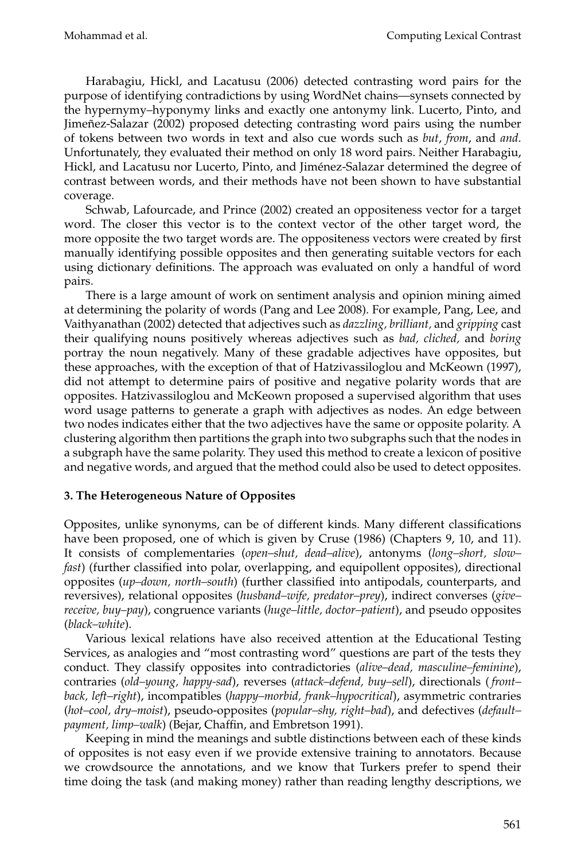Harabagiu, Hickl, and Lacatusu (2006) detected contrasting word pairs for the purpose of identifying contradictions by using WordNet chains—synsets connected by the hypernymy–hyponymy links and exactly one antonymy link. Lucerto, Pinto, and Jimeñez-Salazar (2002) proposed detecting contrasting word pairs using the number of tokens between two words in text and also cue words such as *but*, *from*, and *and*. Unfortunately, they evaluated their method on only 18 word pairs. Neither Harabagiu, Hickl, and Lacatusu nor Lucerto, Pinto, and Jiménez-Salazar determined the degree of contrast between words, and their methods have not been shown to have substantial coverage.

Schwab, Lafourcade, and Prince (2002) created an oppositeness vector for a target word. The closer this vector is to the context vector of the other target word, the more opposite the two target words are. The oppositeness vectors were created by first manually identifying possible opposites and then generating suitable vectors for each using dictionary definitions. The approach was evaluated on only a handful of word pairs.

There is a large amount of work on sentiment analysis and opinion mining aimed at determining the polarity of words (Pang and Lee 2008). For example, Pang, Lee, and Vaithyanathan (2002) detected that adjectives such as *dazzling, brilliant,* and *gripping* cast their qualifying nouns positively whereas adjectives such as *bad, cliched,* and *boring* portray the noun negatively. Many of these gradable adjectives have opposites, but these approaches, with the exception of that of Hatzivassiloglou and McKeown (1997), did not attempt to determine pairs of positive and negative polarity words that are opposites. Hatzivassiloglou and McKeown proposed a supervised algorithm that uses word usage patterns to generate a graph with adjectives as nodes. An edge between two nodes indicates either that the two adjectives have the same or opposite polarity. A clustering algorithm then partitions the graph into two subgraphs such that the nodes in a subgraph have the same polarity. They used this method to create a lexicon of positive and negative words, and argued that the method could also be used to detect opposites.

## **3. The Heterogeneous Nature of Opposites**

Opposites, unlike synonyms, can be of different kinds. Many different classifications have been proposed, one of which is given by Cruse (1986) (Chapters 9, 10, and 11). It consists of complementaries (*open–shut, dead–alive*), antonyms (*long–short, slow– fast*) (further classified into polar, overlapping, and equipollent opposites), directional opposites (*up–down, north–south*) (further classified into antipodals, counterparts, and reversives), relational opposites (*husband–wife, predator–prey*), indirect converses (*give– receive, buy–pay*), congruence variants (*huge–little, doctor–patient*), and pseudo opposites (*black–white*).

Various lexical relations have also received attention at the Educational Testing Services, as analogies and "most contrasting word" questions are part of the tests they conduct. They classify opposites into contradictories (*alive–dead, masculine–feminine*), contraries (*old–young, happy-sad*), reverses (*attack–defend, buy–sell*), directionals ( *front– back, left–right*), incompatibles (*happy–morbid, frank–hypocritical*), asymmetric contraries (*hot–cool, dry–moist*), pseudo-opposites (*popular–shy, right–bad*), and defectives (*default– payment, limp–walk*) (Bejar, Chaffin, and Embretson 1991).

Keeping in mind the meanings and subtle distinctions between each of these kinds of opposites is not easy even if we provide extensive training to annotators. Because we crowdsource the annotations, and we know that Turkers prefer to spend their time doing the task (and making money) rather than reading lengthy descriptions, we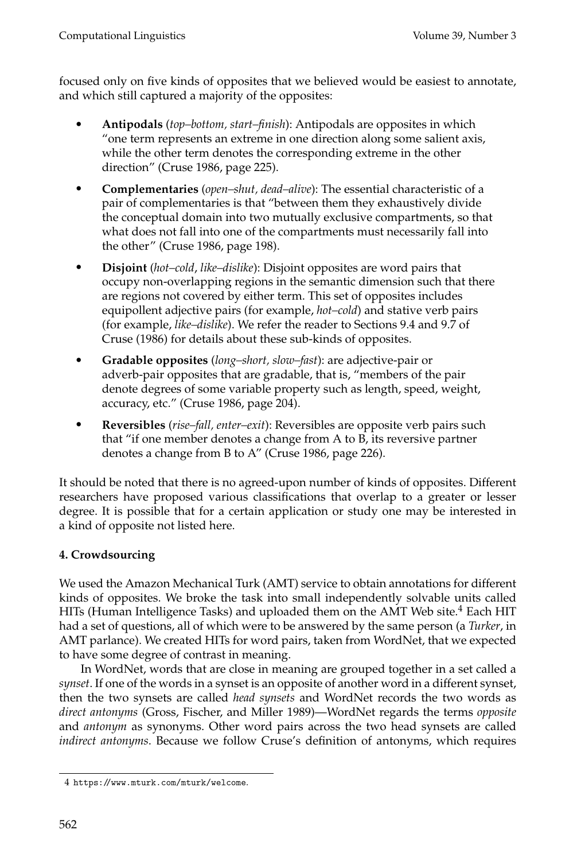focused only on five kinds of opposites that we believed would be easiest to annotate, and which still captured a majority of the opposites:

- **Antipodals** (*top–bottom, start–finish*): Antipodals are opposites in which "one term represents an extreme in one direction along some salient axis, while the other term denotes the corresponding extreme in the other direction" (Cruse 1986, page 225).
- **Complementaries** (*open–shut, dead–alive*): The essential characteristic of a pair of complementaries is that "between them they exhaustively divide the conceptual domain into two mutually exclusive compartments, so that what does not fall into one of the compartments must necessarily fall into the other" (Cruse 1986, page 198).
- **Disjoint** (*hot–cold*, *like–dislike*): Disjoint opposites are word pairs that occupy non-overlapping regions in the semantic dimension such that there are regions not covered by either term. This set of opposites includes equipollent adjective pairs (for example, *hot–cold*) and stative verb pairs (for example, *like–dislike*). We refer the reader to Sections 9.4 and 9.7 of Cruse (1986) for details about these sub-kinds of opposites.
- **Gradable opposites** (*long–short, slow–fast*): are adjective-pair or adverb-pair opposites that are gradable, that is, "members of the pair denote degrees of some variable property such as length, speed, weight, accuracy, etc." (Cruse 1986, page 204).
- **Reversibles** (*rise–fall, enter–exit*): Reversibles are opposite verb pairs such that "if one member denotes a change from A to B, its reversive partner denotes a change from B to A" (Cruse 1986, page 226).

It should be noted that there is no agreed-upon number of kinds of opposites. Different researchers have proposed various classifications that overlap to a greater or lesser degree. It is possible that for a certain application or study one may be interested in a kind of opposite not listed here.

## **4. Crowdsourcing**

We used the Amazon Mechanical Turk (AMT) service to obtain annotations for different kinds of opposites. We broke the task into small independently solvable units called HITs (Human Intelligence Tasks) and uploaded them on the AMT Web site.<sup>4</sup> Each HIT had a set of questions, all of which were to be answered by the same person (a *Turker*, in AMT parlance). We created HITs for word pairs, taken from WordNet, that we expected to have some degree of contrast in meaning.

In WordNet, words that are close in meaning are grouped together in a set called a *synset*. If one of the words in a synset is an opposite of another word in a different synset, then the two synsets are called *head synsets* and WordNet records the two words as *direct antonyms* (Gross, Fischer, and Miller 1989)—WordNet regards the terms *opposite* and *antonym* as synonyms. Other word pairs across the two head synsets are called *indirect antonyms*. Because we follow Cruse's definition of antonyms, which requires

<sup>4</sup> https://www.mturk.com/mturk/welcome.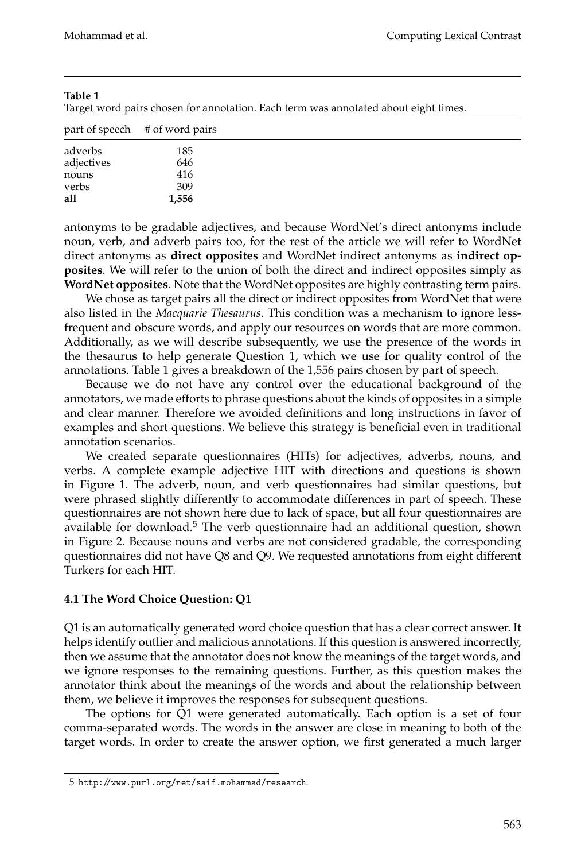Target word pairs chosen for annotation. Each term was annotated about eight times.

|            | part of speech # of word pairs |  |
|------------|--------------------------------|--|
| adverbs    | 185                            |  |
| adjectives | 646                            |  |
| nouns      | 416                            |  |
| verbs      | 309                            |  |
| all        | 1,556                          |  |

antonyms to be gradable adjectives, and because WordNet's direct antonyms include noun, verb, and adverb pairs too, for the rest of the article we will refer to WordNet direct antonyms as **direct opposites** and WordNet indirect antonyms as **indirect opposites**. We will refer to the union of both the direct and indirect opposites simply as **WordNet opposites**. Note that the WordNet opposites are highly contrasting term pairs.

We chose as target pairs all the direct or indirect opposites from WordNet that were also listed in the *Macquarie Thesaurus*. This condition was a mechanism to ignore lessfrequent and obscure words, and apply our resources on words that are more common. Additionally, as we will describe subsequently, we use the presence of the words in the thesaurus to help generate Question 1, which we use for quality control of the annotations. Table 1 gives a breakdown of the 1,556 pairs chosen by part of speech.

Because we do not have any control over the educational background of the annotators, we made efforts to phrase questions about the kinds of opposites in a simple and clear manner. Therefore we avoided definitions and long instructions in favor of examples and short questions. We believe this strategy is beneficial even in traditional annotation scenarios.

We created separate questionnaires (HITs) for adjectives, adverbs, nouns, and verbs. A complete example adjective HIT with directions and questions is shown in Figure 1. The adverb, noun, and verb questionnaires had similar questions, but were phrased slightly differently to accommodate differences in part of speech. These questionnaires are not shown here due to lack of space, but all four questionnaires are available for download.<sup>5</sup> The verb questionnaire had an additional question, shown in Figure 2. Because nouns and verbs are not considered gradable, the corresponding questionnaires did not have Q8 and Q9. We requested annotations from eight different Turkers for each HIT.

## **4.1 The Word Choice Question: Q1**

Q1 is an automatically generated word choice question that has a clear correct answer. It helps identify outlier and malicious annotations. If this question is answered incorrectly, then we assume that the annotator does not know the meanings of the target words, and we ignore responses to the remaining questions. Further, as this question makes the annotator think about the meanings of the words and about the relationship between them, we believe it improves the responses for subsequent questions.

The options for Q1 were generated automatically. Each option is a set of four comma-separated words. The words in the answer are close in meaning to both of the target words. In order to create the answer option, we first generated a much larger

<sup>5</sup> http://www.purl.org/net/saif.mohammad/research.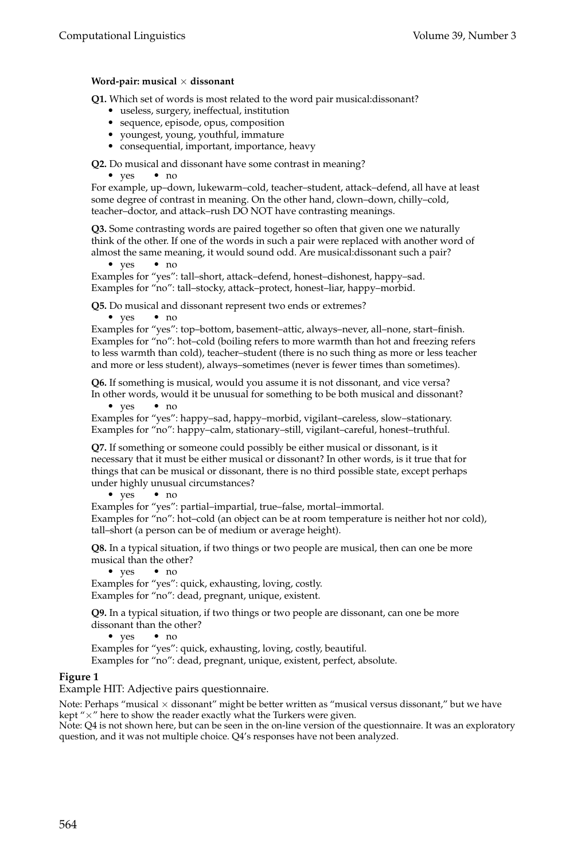#### **Word-pair: musical** × **dissonant**

**Q1.** Which set of words is most related to the word pair musical:dissonant?

- 
- 
- 
- useless, surgery, ineffectual, institution<br>• sequence, episode, opus, composition<br>• youngest, young, youthful, immature<br>• consequential, important, importance, heavy

**Q2.** Do musical and dissonant have some contrast in meaning?

• yes • no

For example, up–down, lukewarm–cold, teacher–student, attack–defend, all have at least some degree of contrast in meaning. On the other hand, clown–down, chilly–cold, teacher–doctor, and attack–rush DO NOT have contrasting meanings.

**Q3.** Some contrasting words are paired together so often that given one we naturally think of the other. If one of the words in such a pair were replaced with another word of almost the same meaning, it would sound odd. Are musical:dissonant such a pair? <br>  $\bullet\;$  yes  $\qquad \bullet\;$  no

Examples for "yes": tall–short, attack–defend, honest–dishonest, happy–sad. Examples for "no": tall–stocky, attack–protect, honest–liar, happy–morbid.

**Q5.** Do musical and dissonant represent two ends or extremes?

• yes • no

Examples for "yes": top–bottom, basement–attic, always–never, all–none, start–finish. Examples for "no": hot–cold (boiling refers to more warmth than hot and freezing refers to less warmth than cold), teacher–student (there is no such thing as more or less teacher and more or less student), always–sometimes (never is fewer times than sometimes).

**Q6.** If something is musical, would you assume it is not dissonant, and vice versa? In other words, would it be unusual for something to be both musical and dissonant? <br>  $\bullet\;$  yes  $\qquad \bullet\;$  no

Examples for "yes": happy–sad, happy–morbid, vigilant–careless, slow–stationary. Examples for "no": happy–calm, stationary–still, vigilant–careful, honest–truthful.

**Q7.** If something or someone could possibly be either musical or dissonant, is it necessary that it must be either musical or dissonant? In other words, is it true that for things that can be musical or dissonant, there is no third possible state, except perhaps under highly unusual circumstances?<br>• yes • no

Examples for "yes": partial–impartial, true–false, mortal–immortal. Examples for "no": hot–cold (an object can be at room temperature is neither hot nor cold), tall–short (a person can be of medium or average height).

**Q8.** In a typical situation, if two things or two people are musical, then can one be more musical than the other?<br>
• yes • no

Examples for "yes": quick, exhausting, loving, costly. Examples for "no": dead, pregnant, unique, existent.

**Q9.** In a typical situation, if two things or two people are dissonant, can one be more dissonant than the other?<br>
• yes • no

Examples for "yes": quick, exhausting, loving, costly, beautiful.

Examples for "no": dead, pregnant, unique, existent, perfect, absolute.

#### **Figure 1**

Example HIT: Adjective pairs questionnaire.

Note: Perhaps "musical  $\times$  dissonant" might be better written as "musical versus dissonant," but we have kept " $\times$ " here to show the reader exactly what the Turkers were given.

Note: Q4 is not shown here, but can be seen in the on-line version of the questionnaire. It was an exploratory question, and it was not multiple choice. Q4's responses have not been analyzed.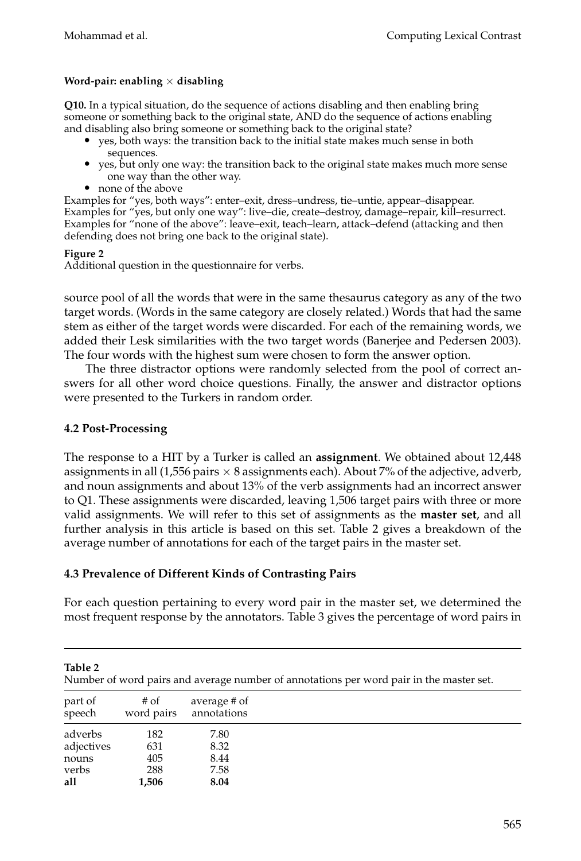## **Word-pair: enabling** × **disabling**

**Q10.** In a typical situation, do the sequence of actions disabling and then enabling bring someone or something back to the original state, AND do the sequence of actions enabling

- and disabling also bring someone or something back to the original state?<br>
 yes, both ways: the transition back to the initial state makes much sense in both sequences.
	- yes, but only one way: the transition back to the original state makes much more sense one way than the other way. none of the above
	-

Examples for "yes, both ways": enter–exit, dress–undress, tie–untie, appear–disappear. Examples for "yes, but only one way": live–die, create–destroy, damage–repair, kill–resurrect. Examples for "none of the above": leave–exit, teach–learn, attack–defend (attacking and then defending does not bring one back to the original state).

### **Figure 2**

Additional question in the questionnaire for verbs.

source pool of all the words that were in the same thesaurus category as any of the two target words. (Words in the same category are closely related.) Words that had the same stem as either of the target words were discarded. For each of the remaining words, we added their Lesk similarities with the two target words (Banerjee and Pedersen 2003). The four words with the highest sum were chosen to form the answer option.

The three distractor options were randomly selected from the pool of correct answers for all other word choice questions. Finally, the answer and distractor options were presented to the Turkers in random order.

## **4.2 Post-Processing**

The response to a HIT by a Turker is called an **assignment**. We obtained about 12,448 assignments in all (1,556 pairs  $\times$  8 assignments each). About 7% of the adjective, adverb, and noun assignments and about 13% of the verb assignments had an incorrect answer to Q1. These assignments were discarded, leaving 1,506 target pairs with three or more valid assignments. We will refer to this set of assignments as the **master set**, and all further analysis in this article is based on this set. Table 2 gives a breakdown of the average number of annotations for each of the target pairs in the master set.

## **4.3 Prevalence of Different Kinds of Contrasting Pairs**

For each question pertaining to every word pair in the master set, we determined the most frequent response by the annotators. Table 3 gives the percentage of word pairs in

| Table 2<br>Number of word pairs and average number of annotations per word pair in the master set. |                      |                             |  |  |  |
|----------------------------------------------------------------------------------------------------|----------------------|-----------------------------|--|--|--|
| part of<br>speech                                                                                  | $#$ of<br>word pairs | average # of<br>annotations |  |  |  |
| adverbs                                                                                            | 182                  | 7.80                        |  |  |  |
| adjectives                                                                                         | 631                  | 8.32                        |  |  |  |
| nouns                                                                                              | 405                  | 8.44                        |  |  |  |
| verbs                                                                                              | 288                  | 7.58                        |  |  |  |
| all                                                                                                | 1.506                | 8.04                        |  |  |  |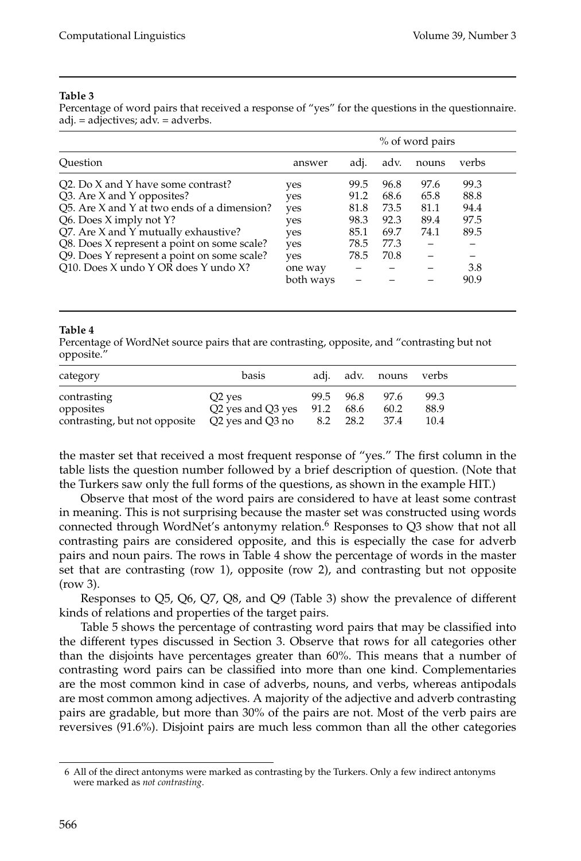Percentage of word pairs that received a response of "yes" for the questions in the questionnaire. adj. = adjectives; adv. = adverbs.

|                                             | % of word pairs |      |      |       |       |  |
|---------------------------------------------|-----------------|------|------|-------|-------|--|
| Ouestion                                    | answer          | adi. | adv. | nouns | verbs |  |
| Q2. Do X and Y have some contrast?          | yes             | 99.5 | 96.8 | 97.6  | 99.3  |  |
| Q3. Are X and Y opposites?                  | yes             | 91.2 | 68.6 | 65.8  | 88.8  |  |
| Q5. Are X and Y at two ends of a dimension? | yes             | 81.8 | 73.5 | 81.1  | 94.4  |  |
| Q6. Does X imply not Y?                     | yes             | 98.3 | 92.3 | 89.4  | 97.5  |  |
| Q7. Are X and Y mutually exhaustive?        | yes             | 85.1 | 69.7 | 74.1  | 89.5  |  |
| Q8. Does X represent a point on some scale? | yes             | 78.5 | 77.3 |       |       |  |
| Q9. Does Y represent a point on some scale? | yes             | 78.5 | 70.8 |       |       |  |
| Q10. Does X undo Y OR does Y undo X?        | one way         |      |      |       | 3.8   |  |
|                                             | both ways       |      |      |       | 90.9  |  |

#### **Table 4**

Percentage of WordNet source pairs that are contrasting, opposite, and "contrasting but not opposite."

| category                                                                                  | basis                                              |                   | adi. adv. nouns verbs |                      |  |
|-------------------------------------------------------------------------------------------|----------------------------------------------------|-------------------|-----------------------|----------------------|--|
| contrasting<br>opposites<br>contrasting, but not opposite $Q2$ yes and $Q3$ no $8.2$ 28.2 | Q <sub>2</sub> yes<br>$Q2$ yes and $Q3$ yes $91.2$ | 99.5 96.8<br>68.6 | 97.6<br>60.2<br>37.4  | 99.3<br>88.9<br>10.4 |  |

the master set that received a most frequent response of "yes." The first column in the table lists the question number followed by a brief description of question. (Note that the Turkers saw only the full forms of the questions, as shown in the example HIT.)

Observe that most of the word pairs are considered to have at least some contrast in meaning. This is not surprising because the master set was constructed using words connected through WordNet's antonymy relation.<sup>6</sup> Responses to Q3 show that not all contrasting pairs are considered opposite, and this is especially the case for adverb pairs and noun pairs. The rows in Table 4 show the percentage of words in the master set that are contrasting (row 1), opposite (row 2), and contrasting but not opposite (row 3).

Responses to Q5, Q6, Q7, Q8, and Q9 (Table 3) show the prevalence of different kinds of relations and properties of the target pairs.

Table 5 shows the percentage of contrasting word pairs that may be classified into the different types discussed in Section 3. Observe that rows for all categories other than the disjoints have percentages greater than 60%. This means that a number of contrasting word pairs can be classified into more than one kind. Complementaries are the most common kind in case of adverbs, nouns, and verbs, whereas antipodals are most common among adjectives. A majority of the adjective and adverb contrasting pairs are gradable, but more than 30% of the pairs are not. Most of the verb pairs are reversives (91.6%). Disjoint pairs are much less common than all the other categories

<sup>6</sup> All of the direct antonyms were marked as contrasting by the Turkers. Only a few indirect antonyms were marked as *not contrasting*.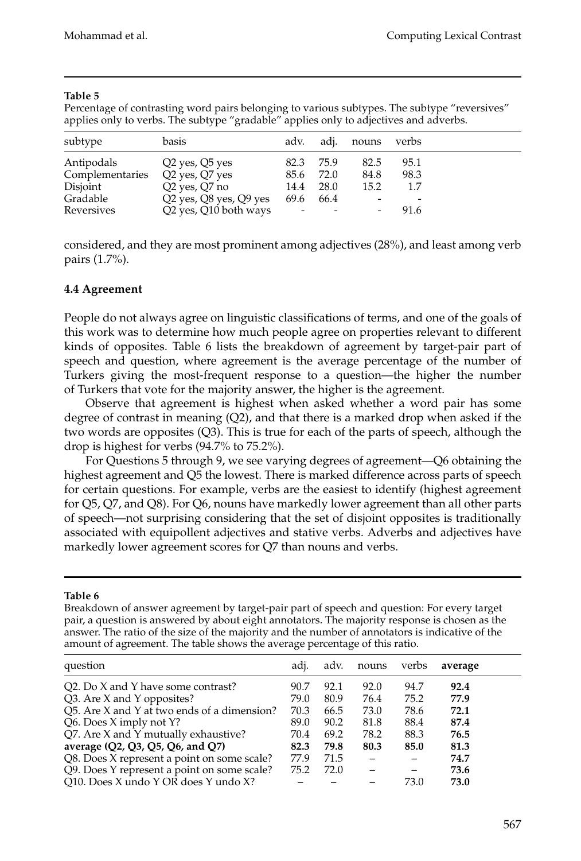Percentage of contrasting word pairs belonging to various subtypes. The subtype "reversives" applies only to verbs. The subtype "gradable" applies only to adjectives and adverbs.

| subtype                                                             | basis                                                                                                                                                |                                                  |                      | adv. adj. nouns verbs |                                                         |  |
|---------------------------------------------------------------------|------------------------------------------------------------------------------------------------------------------------------------------------------|--------------------------------------------------|----------------------|-----------------------|---------------------------------------------------------|--|
| Antipodals<br>Complementaries<br>Disjoint<br>Gradable<br>Reversives | Q <sub>2</sub> yes, Q <sub>5</sub> yes<br>Q2 yes, Q7 yes<br>Q2 yes, Q7 no<br>Q2 yes, Q8 yes, Q9 yes<br>Q <sub>2</sub> yes, Q <sub>10</sub> both ways | 82.3 75.9<br>85.6 72.0<br>14.4 28.0<br>69.6 66.4 | <b>Service State</b> | 82.5<br>84.8<br>15.2  | 95.1<br>98.3<br>1.7<br>$\overline{\phantom{0}}$<br>91.6 |  |

considered, and they are most prominent among adjectives (28%), and least among verb pairs (1.7%).

## **4.4 Agreement**

People do not always agree on linguistic classifications of terms, and one of the goals of this work was to determine how much people agree on properties relevant to different kinds of opposites. Table 6 lists the breakdown of agreement by target-pair part of speech and question, where agreement is the average percentage of the number of Turkers giving the most-frequent response to a question—the higher the number of Turkers that vote for the majority answer, the higher is the agreement.

Observe that agreement is highest when asked whether a word pair has some degree of contrast in meaning  $(Q2)$ , and that there is a marked drop when asked if the two words are opposites (Q3). This is true for each of the parts of speech, although the drop is highest for verbs (94.7% to 75.2%).

For Questions 5 through 9, we see varying degrees of agreement—Q6 obtaining the highest agreement and Q5 the lowest. There is marked difference across parts of speech for certain questions. For example, verbs are the easiest to identify (highest agreement for Q5, Q7, and Q8). For Q6, nouns have markedly lower agreement than all other parts of speech—not surprising considering that the set of disjoint opposites is traditionally associated with equipollent adjectives and stative verbs. Adverbs and adjectives have markedly lower agreement scores for Q7 than nouns and verbs.

#### **Table 6**

Breakdown of answer agreement by target-pair part of speech and question: For every target pair, a question is answered by about eight annotators. The majority response is chosen as the answer. The ratio of the size of the majority and the number of annotators is indicative of the amount of agreement. The table shows the average percentage of this ratio.

| question                                    | adi. | adv. | nouns | verbs | average |
|---------------------------------------------|------|------|-------|-------|---------|
| Q2. Do X and Y have some contrast?          | 90.7 | 92.1 | 92.0  | 94.7  | 92.4    |
| Q3. Are X and Y opposites?                  | 79.0 | 80.9 | 76.4  | 75.2  | 77.9    |
| O5. Are X and Y at two ends of a dimension? | 70.3 | 66.5 | 73.0  | 78.6  | 72.1    |
| Q6. Does X imply not Y?                     | 89.0 | 90.2 | 81.8  | 88.4  | 87.4    |
| Q7. Are X and Y mutually exhaustive?        | 70.4 | 69.2 | 78.2  | 88.3  | 76.5    |
| average (Q2, Q3, Q5, Q6, and Q7)            | 82.3 | 79.8 | 80.3  | 85.0  | 81.3    |
| Q8. Does X represent a point on some scale? | 77.9 | 71.5 |       |       | 74.7    |
| Q9. Does Y represent a point on some scale? | 75.2 | 72.0 |       |       | 73.6    |
| Q10. Does X undo Y OR does Y undo X?        |      |      |       | 73.0  | 73.0    |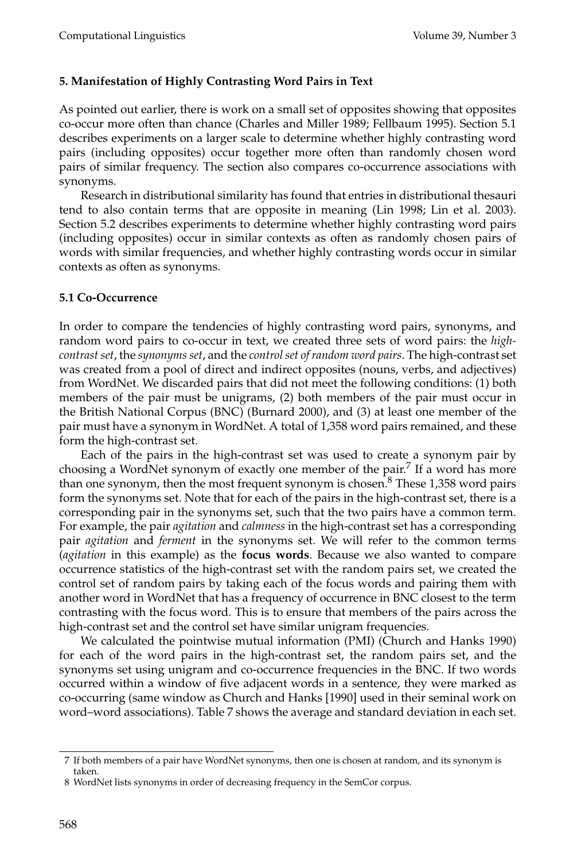## **5. Manifestation of Highly Contrasting Word Pairs in Text**

As pointed out earlier, there is work on a small set of opposites showing that opposites co-occur more often than chance (Charles and Miller 1989; Fellbaum 1995). Section 5.1 describes experiments on a larger scale to determine whether highly contrasting word pairs (including opposites) occur together more often than randomly chosen word pairs of similar frequency. The section also compares co-occurrence associations with synonyms.

Research in distributional similarity has found that entries in distributional thesauri tend to also contain terms that are opposite in meaning (Lin 1998; Lin et al. 2003). Section 5.2 describes experiments to determine whether highly contrasting word pairs (including opposites) occur in similar contexts as often as randomly chosen pairs of words with similar frequencies, and whether highly contrasting words occur in similar contexts as often as synonyms.

## **5.1 Co-Occurrence**

In order to compare the tendencies of highly contrasting word pairs, synonyms, and random word pairs to co-occur in text, we created three sets of word pairs: the *highcontrast set*, the *synonyms set*, and the *control set of random word pairs*. The high-contrast set was created from a pool of direct and indirect opposites (nouns, verbs, and adjectives) from WordNet. We discarded pairs that did not meet the following conditions: (1) both members of the pair must be unigrams, (2) both members of the pair must occur in the British National Corpus (BNC) (Burnard 2000), and (3) at least one member of the pair must have a synonym in WordNet. A total of 1,358 word pairs remained, and these form the high-contrast set.

Each of the pairs in the high-contrast set was used to create a synonym pair by choosing a WordNet synonym of exactly one member of the pair.<sup>7</sup> If a word has more than one synonym, then the most frequent synonym is chosen. $8$  These 1,358 word pairs form the synonyms set. Note that for each of the pairs in the high-contrast set, there is a corresponding pair in the synonyms set, such that the two pairs have a common term. For example, the pair *agitation* and *calmness* in the high-contrast set has a corresponding pair *agitation* and *ferment* in the synonyms set. We will refer to the common terms (*agitation* in this example) as the **focus words**. Because we also wanted to compare occurrence statistics of the high-contrast set with the random pairs set, we created the control set of random pairs by taking each of the focus words and pairing them with another word in WordNet that has a frequency of occurrence in BNC closest to the term contrasting with the focus word. This is to ensure that members of the pairs across the high-contrast set and the control set have similar unigram frequencies.

We calculated the pointwise mutual information (PMI) (Church and Hanks 1990) for each of the word pairs in the high-contrast set, the random pairs set, and the synonyms set using unigram and co-occurrence frequencies in the BNC. If two words occurred within a window of five adjacent words in a sentence, they were marked as co-occurring (same window as Church and Hanks [1990] used in their seminal work on word–word associations). Table 7 shows the average and standard deviation in each set.

<sup>7</sup> If both members of a pair have WordNet synonyms, then one is chosen at random, and its synonym is taken.

<sup>8</sup> WordNet lists synonyms in order of decreasing frequency in the SemCor corpus.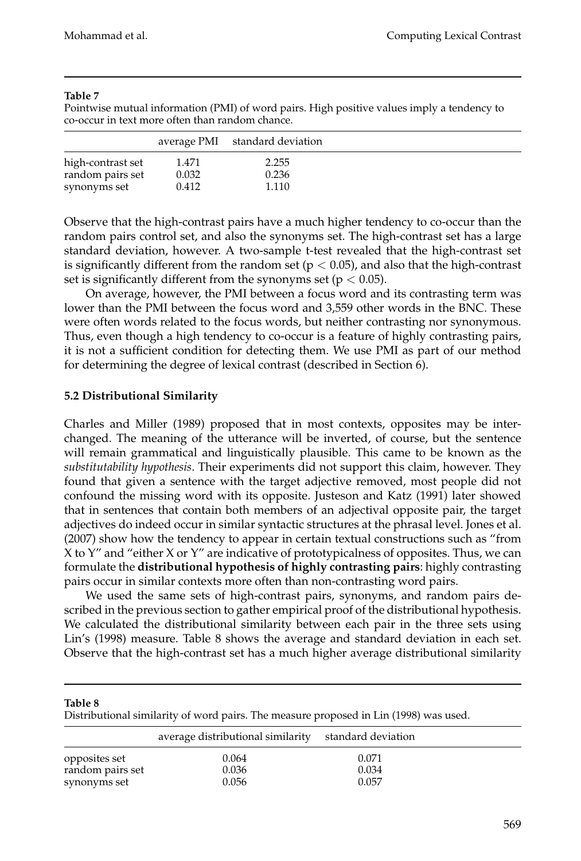Pointwise mutual information (PMI) of word pairs. High positive values imply a tendency to co-occur in text more often than random chance.

|                   |       | average PMI standard deviation |  |
|-------------------|-------|--------------------------------|--|
| high-contrast set | 1.471 | 2.255                          |  |
| random pairs set  | 0.032 | 0.236                          |  |
| synonyms set      | 0.412 | 1.110                          |  |

Observe that the high-contrast pairs have a much higher tendency to co-occur than the random pairs control set, and also the synonyms set. The high-contrast set has a large standard deviation, however. A two-sample t-test revealed that the high-contrast set is significantly different from the random set ( $p < 0.05$ ), and also that the high-contrast set is significantly different from the synonyms set ( $p < 0.05$ ).

On average, however, the PMI between a focus word and its contrasting term was lower than the PMI between the focus word and 3,559 other words in the BNC. These were often words related to the focus words, but neither contrasting nor synonymous. Thus, even though a high tendency to co-occur is a feature of highly contrasting pairs, it is not a sufficient condition for detecting them. We use PMI as part of our method for determining the degree of lexical contrast (described in Section 6).

### **5.2 Distributional Similarity**

Charles and Miller (1989) proposed that in most contexts, opposites may be interchanged. The meaning of the utterance will be inverted, of course, but the sentence will remain grammatical and linguistically plausible. This came to be known as the *substitutability hypothesis*. Their experiments did not support this claim, however. They found that given a sentence with the target adjective removed, most people did not confound the missing word with its opposite. Justeson and Katz (1991) later showed that in sentences that contain both members of an adjectival opposite pair, the target adjectives do indeed occur in similar syntactic structures at the phrasal level. Jones et al. (2007) show how the tendency to appear in certain textual constructions such as "from X to Y" and "either X or Y" are indicative of prototypicalness of opposites. Thus, we can formulate the **distributional hypothesis of highly contrasting pairs**: highly contrasting pairs occur in similar contexts more often than non-contrasting word pairs.

We used the same sets of high-contrast pairs, synonyms, and random pairs described in the previous section to gather empirical proof of the distributional hypothesis. We calculated the distributional similarity between each pair in the three sets using Lin's (1998) measure. Table 8 shows the average and standard deviation in each set. Observe that the high-contrast set has a much higher average distributional similarity

#### **Table 8**

Distributional similarity of word pairs. The measure proposed in Lin (1998) was used.

|                  | average distributional similarity | standard deviation |  |
|------------------|-----------------------------------|--------------------|--|
| opposites set    | 0.064                             | 0.071              |  |
| random pairs set | 0.036                             | 0.034              |  |
| synonyms set     | 0.056                             | 0.057              |  |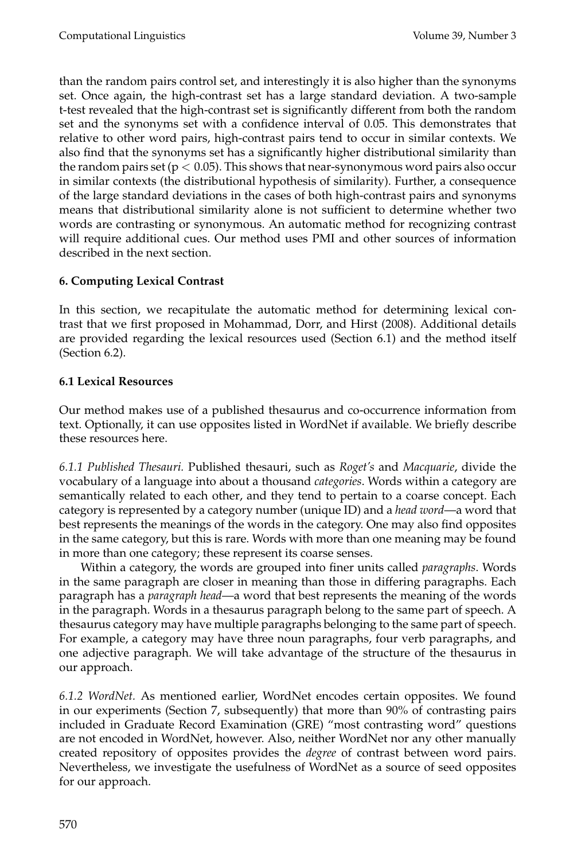than the random pairs control set, and interestingly it is also higher than the synonyms set. Once again, the high-contrast set has a large standard deviation. A two-sample t-test revealed that the high-contrast set is significantly different from both the random set and the synonyms set with a confidence interval of 0.05. This demonstrates that relative to other word pairs, high-contrast pairs tend to occur in similar contexts. We also find that the synonyms set has a significantly higher distributional similarity than the random pairs set ( $p < 0.05$ ). This shows that near-synonymous word pairs also occur in similar contexts (the distributional hypothesis of similarity). Further, a consequence of the large standard deviations in the cases of both high-contrast pairs and synonyms means that distributional similarity alone is not sufficient to determine whether two words are contrasting or synonymous. An automatic method for recognizing contrast will require additional cues. Our method uses PMI and other sources of information described in the next section.

## **6. Computing Lexical Contrast**

In this section, we recapitulate the automatic method for determining lexical contrast that we first proposed in Mohammad, Dorr, and Hirst (2008). Additional details are provided regarding the lexical resources used (Section 6.1) and the method itself (Section 6.2).

## **6.1 Lexical Resources**

Our method makes use of a published thesaurus and co-occurrence information from text. Optionally, it can use opposites listed in WordNet if available. We briefly describe these resources here.

*6.1.1 Published Thesauri.* Published thesauri, such as *Roget's* and *Macquarie*, divide the vocabulary of a language into about a thousand *categories*. Words within a category are semantically related to each other, and they tend to pertain to a coarse concept. Each category is represented by a category number (unique ID) and a *head word*—a word that best represents the meanings of the words in the category. One may also find opposites in the same category, but this is rare. Words with more than one meaning may be found in more than one category; these represent its coarse senses.

Within a category, the words are grouped into finer units called *paragraphs*. Words in the same paragraph are closer in meaning than those in differing paragraphs. Each paragraph has a *paragraph head*—a word that best represents the meaning of the words in the paragraph. Words in a thesaurus paragraph belong to the same part of speech. A thesaurus category may have multiple paragraphs belonging to the same part of speech. For example, a category may have three noun paragraphs, four verb paragraphs, and one adjective paragraph. We will take advantage of the structure of the thesaurus in our approach.

*6.1.2 WordNet.* As mentioned earlier, WordNet encodes certain opposites. We found in our experiments (Section 7, subsequently) that more than 90% of contrasting pairs included in Graduate Record Examination (GRE) "most contrasting word" questions are not encoded in WordNet, however. Also, neither WordNet nor any other manually created repository of opposites provides the *degree* of contrast between word pairs. Nevertheless, we investigate the usefulness of WordNet as a source of seed opposites for our approach.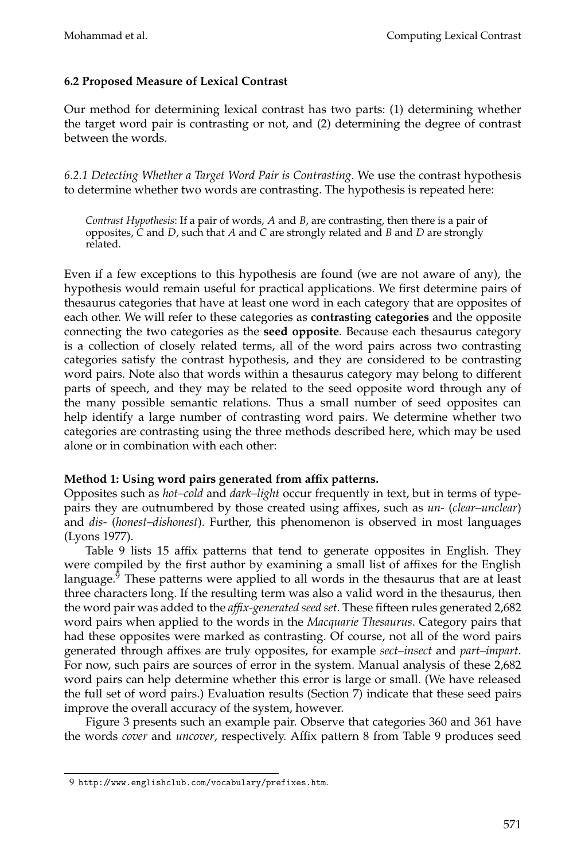## **6.2 Proposed Measure of Lexical Contrast**

Our method for determining lexical contrast has two parts: (1) determining whether the target word pair is contrasting or not, and (2) determining the degree of contrast between the words.

*6.2.1 Detecting Whether a Target Word Pair is Contrasting.* We use the contrast hypothesis to determine whether two words are contrasting. The hypothesis is repeated here:

*Contrast Hypothesis*: If a pair of words, *A* and *B*, are contrasting, then there is a pair of opposites, *C* and *D*, such that *A* and *C* are strongly related and *B* and *D* are strongly related.

Even if a few exceptions to this hypothesis are found (we are not aware of any), the hypothesis would remain useful for practical applications. We first determine pairs of thesaurus categories that have at least one word in each category that are opposites of each other. We will refer to these categories as **contrasting categories** and the opposite connecting the two categories as the **seed opposite**. Because each thesaurus category is a collection of closely related terms, all of the word pairs across two contrasting categories satisfy the contrast hypothesis, and they are considered to be contrasting word pairs. Note also that words within a thesaurus category may belong to different parts of speech, and they may be related to the seed opposite word through any of the many possible semantic relations. Thus a small number of seed opposites can help identify a large number of contrasting word pairs. We determine whether two categories are contrasting using the three methods described here, which may be used alone or in combination with each other:

## **Method 1: Using word pairs generated from affix patterns.**

Opposites such as *hot–cold* and *dark–light* occur frequently in text, but in terms of typepairs they are outnumbered by those created using affixes, such as *un-* (*clear–unclear*) and *dis-* (*honest–dishonest*). Further, this phenomenon is observed in most languages (Lyons 1977).

Table 9 lists 15 affix patterns that tend to generate opposites in English. They were compiled by the first author by examining a small list of affixes for the English language. $9$  These patterns were applied to all words in the thesaurus that are at least three characters long. If the resulting term was also a valid word in the thesaurus, then the word pair was added to the *affix-generated seed set*. These fifteen rules generated 2,682 word pairs when applied to the words in the *Macquarie Thesaurus*. Category pairs that had these opposites were marked as contrasting. Of course, not all of the word pairs generated through affixes are truly opposites, for example *sect–insect* and *part–impart*. For now, such pairs are sources of error in the system. Manual analysis of these 2,682 word pairs can help determine whether this error is large or small. (We have released the full set of word pairs.) Evaluation results (Section 7) indicate that these seed pairs improve the overall accuracy of the system, however.

Figure 3 presents such an example pair. Observe that categories 360 and 361 have the words *cover* and *uncover*, respectively. Affix pattern 8 from Table 9 produces seed

<sup>9</sup> http://www.englishclub.com/vocabulary/prefixes.htm.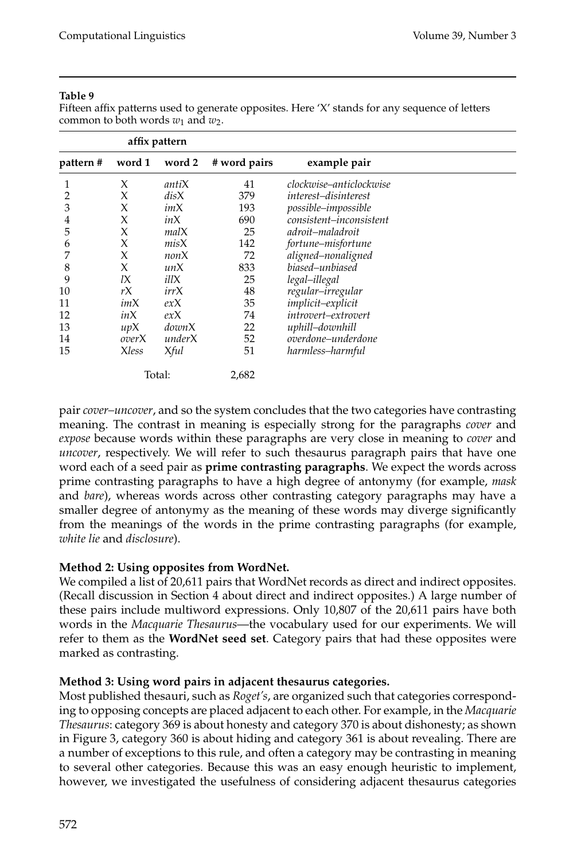Fifteen affix patterns used to generate opposites. Here 'X' stands for any sequence of letters common to both words  $w_1$  and  $w_2$ .

| affix pattern |              |        |              |                             |  |
|---------------|--------------|--------|--------------|-----------------------------|--|
| pattern#      | word 1       | word 2 | # word pairs | example pair                |  |
|               | X            | antiX  | 41           | clockwise–anticlockwise     |  |
|               | X            | disX   | 379          | <i>interest-disinterest</i> |  |
| 3             | X            | imX    | 193          | possible-impossible         |  |
| 4             | X            | inX    | 690          | consistent-inconsistent     |  |
| 5             | X            | malX   | 25           | adroit–maladroit            |  |
| 6             | X            | misX   | 142          | fortune–misfortune          |  |
| 7             | X            | nonX   | 72           | aligned-nonaligned          |  |
| 8             | X            | unX    | 833          | biased–unbiased             |  |
| 9             | 1X           | illX   | 25           | legal-illegal               |  |
| 10            | rX           | irrX   | 48           | regular–irregular           |  |
| 11            | imX          | exX    | 35           | implicit-explicit           |  |
| 12            | inX          | exX    | 74           | introvert-extrovert         |  |
| 13            | upX          | downX  | 22           | uphill-downhill             |  |
| 14            | overX        | underX | 52           | overdone-underdone          |  |
| 15            | <b>Xless</b> | Xful   | 51           | harmless-harmful            |  |
|               |              | Total: | 2,682        |                             |  |

pair *cover–uncover*, and so the system concludes that the two categories have contrasting meaning. The contrast in meaning is especially strong for the paragraphs *cover* and *expose* because words within these paragraphs are very close in meaning to *cover* and *uncover*, respectively. We will refer to such thesaurus paragraph pairs that have one word each of a seed pair as **prime contrasting paragraphs**. We expect the words across prime contrasting paragraphs to have a high degree of antonymy (for example, *mask* and *bare*), whereas words across other contrasting category paragraphs may have a smaller degree of antonymy as the meaning of these words may diverge significantly from the meanings of the words in the prime contrasting paragraphs (for example, *white lie* and *disclosure*).

## **Method 2: Using opposites from WordNet.**

We compiled a list of 20,611 pairs that WordNet records as direct and indirect opposites. (Recall discussion in Section 4 about direct and indirect opposites.) A large number of these pairs include multiword expressions. Only 10,807 of the 20,611 pairs have both words in the *Macquarie Thesaurus*—the vocabulary used for our experiments. We will refer to them as the **WordNet seed set**. Category pairs that had these opposites were marked as contrasting.

## **Method 3: Using word pairs in adjacent thesaurus categories.**

Most published thesauri, such as *Roget's*, are organized such that categories corresponding to opposing concepts are placed adjacent to each other. For example, in the *Macquarie Thesaurus*: category 369 is about honesty and category 370 is about dishonesty; as shown in Figure 3, category 360 is about hiding and category 361 is about revealing. There are a number of exceptions to this rule, and often a category may be contrasting in meaning to several other categories. Because this was an easy enough heuristic to implement, however, we investigated the usefulness of considering adjacent thesaurus categories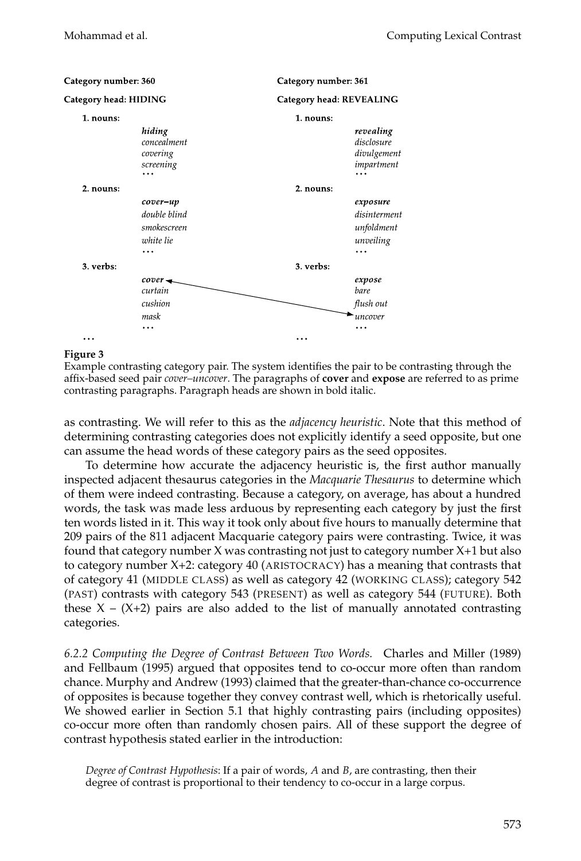| Category number: 360  |                                                                   |                                 | Category number: 361                                             |  |  |  |
|-----------------------|-------------------------------------------------------------------|---------------------------------|------------------------------------------------------------------|--|--|--|
| Category head: HIDING |                                                                   | <b>Category head: REVEALING</b> |                                                                  |  |  |  |
| 1. nouns:             |                                                                   | 1. nouns:                       |                                                                  |  |  |  |
|                       | hiding<br>concealment<br>covering<br>screening<br>.               |                                 | revealing<br>disclosure<br>divulgement<br>impartment             |  |  |  |
| 2. nouns:             |                                                                   | 2. nouns:                       |                                                                  |  |  |  |
|                       | cover-up<br>double blind<br>smokescreen<br>white lie<br>$\ddotsc$ |                                 | exposure<br>disinterment<br>unfoldment<br>unveiling<br>$\ddotsc$ |  |  |  |
| 3. verbs:             |                                                                   | 3. verbs:                       |                                                                  |  |  |  |
|                       | cover-<br>curtain<br>cushion<br>mask<br>$\cdots$                  |                                 | expose<br>bare<br>flush out<br>uncover                           |  |  |  |
|                       |                                                                   | $\cdots$                        |                                                                  |  |  |  |

#### **Figure 3**

Example contrasting category pair. The system identifies the pair to be contrasting through the affix-based seed pair *cover–uncover*. The paragraphs of **cover** and **expose** are referred to as prime contrasting paragraphs. Paragraph heads are shown in bold italic.

as contrasting. We will refer to this as the *adjacency heuristic*. Note that this method of determining contrasting categories does not explicitly identify a seed opposite, but one can assume the head words of these category pairs as the seed opposites.

To determine how accurate the adjacency heuristic is, the first author manually inspected adjacent thesaurus categories in the *Macquarie Thesaurus* to determine which of them were indeed contrasting. Because a category, on average, has about a hundred words, the task was made less arduous by representing each category by just the first ten words listed in it. This way it took only about five hours to manually determine that 209 pairs of the 811 adjacent Macquarie category pairs were contrasting. Twice, it was found that category number X was contrasting not just to category number X+1 but also to category number X+2: category 40 (ARISTOCRACY) has a meaning that contrasts that of category 41 (MIDDLE CLASS) as well as category 42 (WORKING CLASS); category 542 (PAST) contrasts with category 543 (PRESENT) as well as category 544 (FUTURE). Both these  $X - (X+2)$  pairs are also added to the list of manually annotated contrasting categories.

*6.2.2 Computing the Degree of Contrast Between Two Words.* Charles and Miller (1989) and Fellbaum (1995) argued that opposites tend to co-occur more often than random chance. Murphy and Andrew (1993) claimed that the greater-than-chance co-occurrence of opposites is because together they convey contrast well, which is rhetorically useful. We showed earlier in Section 5.1 that highly contrasting pairs (including opposites) co-occur more often than randomly chosen pairs. All of these support the degree of contrast hypothesis stated earlier in the introduction:

*Degree of Contrast Hypothesis*: If a pair of words, *A* and *B*, are contrasting, then their degree of contrast is proportional to their tendency to co-occur in a large corpus.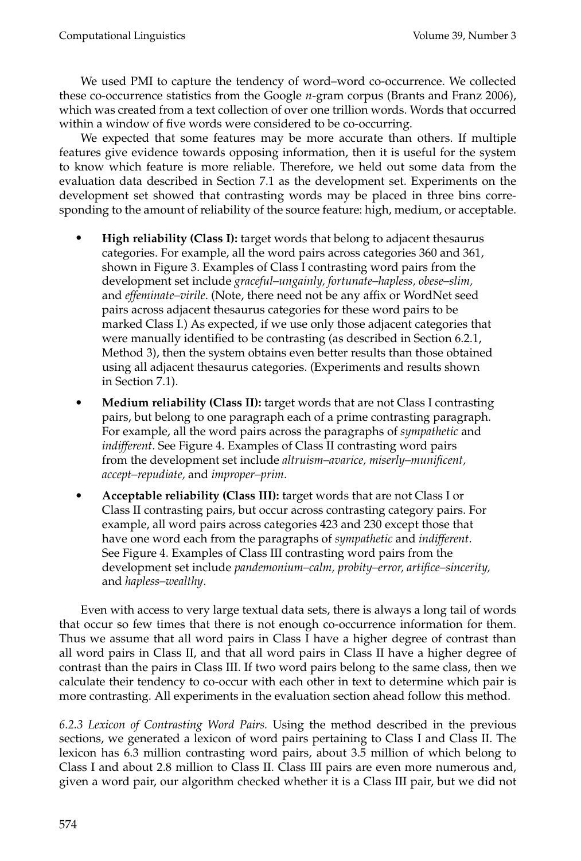We used PMI to capture the tendency of word–word co-occurrence. We collected these co-occurrence statistics from the Google *n*-gram corpus (Brants and Franz 2006), which was created from a text collection of over one trillion words. Words that occurred within a window of five words were considered to be co-occurring.

We expected that some features may be more accurate than others. If multiple features give evidence towards opposing information, then it is useful for the system to know which feature is more reliable. Therefore, we held out some data from the evaluation data described in Section 7.1 as the development set. Experiments on the development set showed that contrasting words may be placed in three bins corresponding to the amount of reliability of the source feature: high, medium, or acceptable.

- **High reliability (Class I):** target words that belong to adjacent thesaurus categories. For example, all the word pairs across categories 360 and 361, shown in Figure 3. Examples of Class I contrasting word pairs from the development set include *graceful–ungainly, fortunate–hapless, obese–slim,* and *effeminate–virile*. (Note, there need not be any affix or WordNet seed pairs across adjacent thesaurus categories for these word pairs to be marked Class I.) As expected, if we use only those adjacent categories that were manually identified to be contrasting (as described in Section 6.2.1, Method 3), then the system obtains even better results than those obtained using all adjacent thesaurus categories. (Experiments and results shown in Section 7.1).
- **Medium reliability (Class II):** target words that are not Class I contrasting pairs, but belong to one paragraph each of a prime contrasting paragraph. For example, all the word pairs across the paragraphs of *sympathetic* and *indifferent*. See Figure 4. Examples of Class II contrasting word pairs from the development set include *altruism–avarice, miserly–munificent, accept–repudiate,* and *improper–prim*.
- **Acceptable reliability (Class III):** target words that are not Class I or Class II contrasting pairs, but occur across contrasting category pairs. For example, all word pairs across categories 423 and 230 except those that have one word each from the paragraphs of *sympathetic* and *indifferent*. See Figure 4. Examples of Class III contrasting word pairs from the development set include *pandemonium–calm, probity–error, artifice–sincerity,* and *hapless–wealthy*.

Even with access to very large textual data sets, there is always a long tail of words that occur so few times that there is not enough co-occurrence information for them. Thus we assume that all word pairs in Class I have a higher degree of contrast than all word pairs in Class II, and that all word pairs in Class II have a higher degree of contrast than the pairs in Class III. If two word pairs belong to the same class, then we calculate their tendency to co-occur with each other in text to determine which pair is more contrasting. All experiments in the evaluation section ahead follow this method.

*6.2.3 Lexicon of Contrasting Word Pairs.* Using the method described in the previous sections, we generated a lexicon of word pairs pertaining to Class I and Class II. The lexicon has 6.3 million contrasting word pairs, about 3.5 million of which belong to Class I and about 2.8 million to Class II. Class III pairs are even more numerous and, given a word pair, our algorithm checked whether it is a Class III pair, but we did not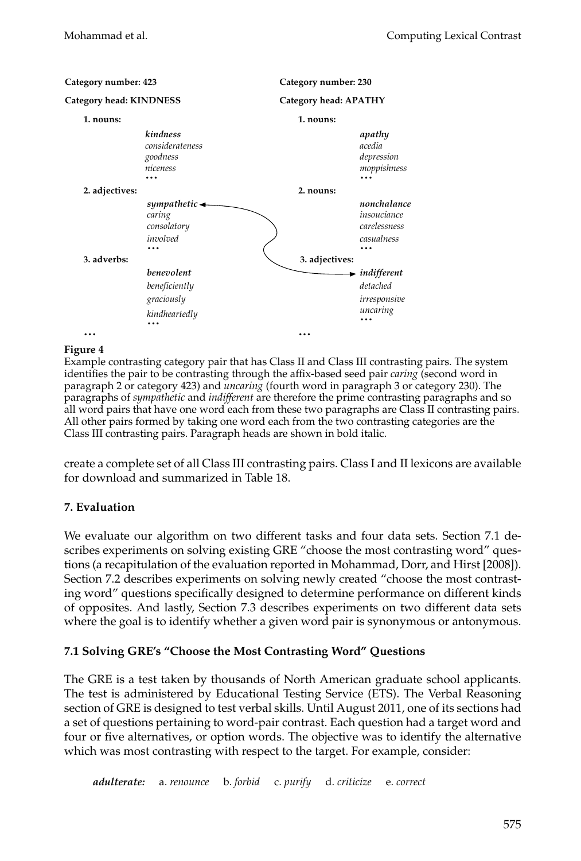

## **Figure 4**

Example contrasting category pair that has Class II and Class III contrasting pairs. The system identifies the pair to be contrasting through the affix-based seed pair *caring* (second word in paragraph 2 or category 423) and *uncaring* (fourth word in paragraph 3 or category 230). The paragraphs of *sympathetic* and *indifferent* are therefore the prime contrasting paragraphs and so all word pairs that have one word each from these two paragraphs are Class II contrasting pairs. All other pairs formed by taking one word each from the two contrasting categories are the Class III contrasting pairs. Paragraph heads are shown in bold italic.

create a complete set of all Class III contrasting pairs. Class I and II lexicons are available for download and summarized in Table 18.

## **7. Evaluation**

We evaluate our algorithm on two different tasks and four data sets. Section 7.1 describes experiments on solving existing GRE "choose the most contrasting word" questions (a recapitulation of the evaluation reported in Mohammad, Dorr, and Hirst [2008]). Section 7.2 describes experiments on solving newly created "choose the most contrasting word" questions specifically designed to determine performance on different kinds of opposites. And lastly, Section 7.3 describes experiments on two different data sets where the goal is to identify whether a given word pair is synonymous or antonymous.

## **7.1 Solving GRE's "Choose the Most Contrasting Word" Questions**

The GRE is a test taken by thousands of North American graduate school applicants. The test is administered by Educational Testing Service (ETS). The Verbal Reasoning section of GRE is designed to test verbal skills. Until August 2011, one of its sections had a set of questions pertaining to word-pair contrast. Each question had a target word and four or five alternatives, or option words. The objective was to identify the alternative which was most contrasting with respect to the target. For example, consider:

*adulterate:* a. *renounce* b. *forbid* c. *purify* d. *criticize* e. *correct*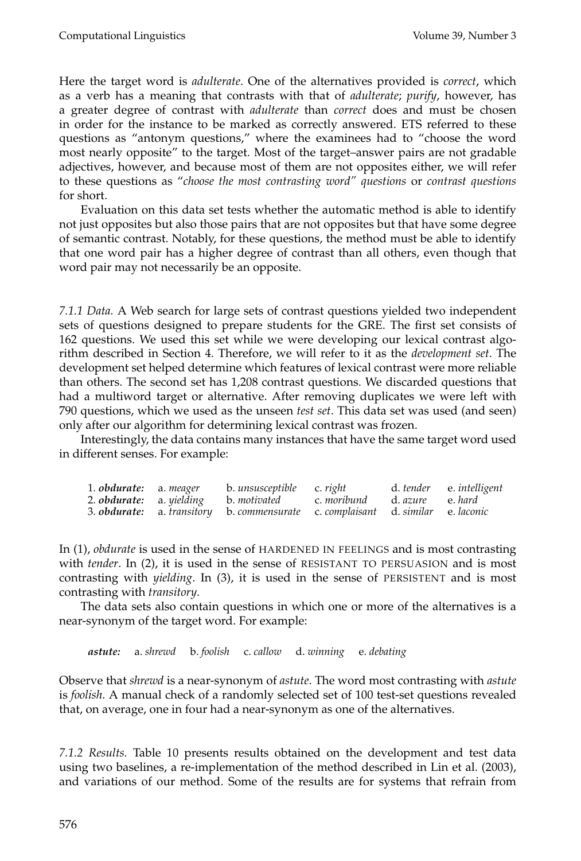Here the target word is *adulterate*. One of the alternatives provided is *correct*, which as a verb has a meaning that contrasts with that of *adulterate*; *purify*, however, has a greater degree of contrast with *adulterate* than *correct* does and must be chosen in order for the instance to be marked as correctly answered. ETS referred to these questions as "antonym questions," where the examinees had to "choose the word most nearly opposite" to the target. Most of the target–answer pairs are not gradable adjectives, however, and because most of them are not opposites either, we will refer to these questions as "*choose the most contrasting word" questions* or *contrast questions* for short.

Evaluation on this data set tests whether the automatic method is able to identify not just opposites but also those pairs that are not opposites but that have some degree of semantic contrast. Notably, for these questions, the method must be able to identify that one word pair has a higher degree of contrast than all others, even though that word pair may not necessarily be an opposite.

*7.1.1 Data.* A Web search for large sets of contrast questions yielded two independent sets of questions designed to prepare students for the GRE. The first set consists of 162 questions. We used this set while we were developing our lexical contrast algorithm described in Section 4. Therefore, we will refer to it as the *development set*. The development set helped determine which features of lexical contrast were more reliable than others. The second set has 1,208 contrast questions. We discarded questions that had a multiword target or alternative. After removing duplicates we were left with 790 questions, which we used as the unseen *test set*. This data set was used (and seen) only after our algorithm for determining lexical contrast was frozen.

Interestingly, the data contains many instances that have the same target word used in different senses. For example:

| 1. <b>obdurate:</b> a. meager | b. unsusceptible c. right                                                              |  | d. tender e. intelligent |
|-------------------------------|----------------------------------------------------------------------------------------|--|--------------------------|
|                               | 2. <b>obdurate:</b> a. yielding b. motivated c. moribund d. azure e. hard              |  |                          |
|                               | 3. <b>obdurate:</b> a. transitory b. commensurate c. complaisant d. similar e. laconic |  |                          |

In (1), *obdurate* is used in the sense of HARDENED IN FEELINGS and is most contrasting with *tender*. In (2), it is used in the sense of RESISTANT TO PERSUASION and is most contrasting with *yielding*. In (3), it is used in the sense of PERSISTENT and is most contrasting with *transitory*.

The data sets also contain questions in which one or more of the alternatives is a near-synonym of the target word. For example:

*astute:* a. *shrewd* b. *foolish* c. *callow* d. *winning* e. *debating*

Observe that *shrewd* is a near-synonym of *astute*. The word most contrasting with *astute* is *foolish*. A manual check of a randomly selected set of 100 test-set questions revealed that, on average, one in four had a near-synonym as one of the alternatives.

*7.1.2 Results.* Table 10 presents results obtained on the development and test data using two baselines, a re-implementation of the method described in Lin et al. (2003), and variations of our method. Some of the results are for systems that refrain from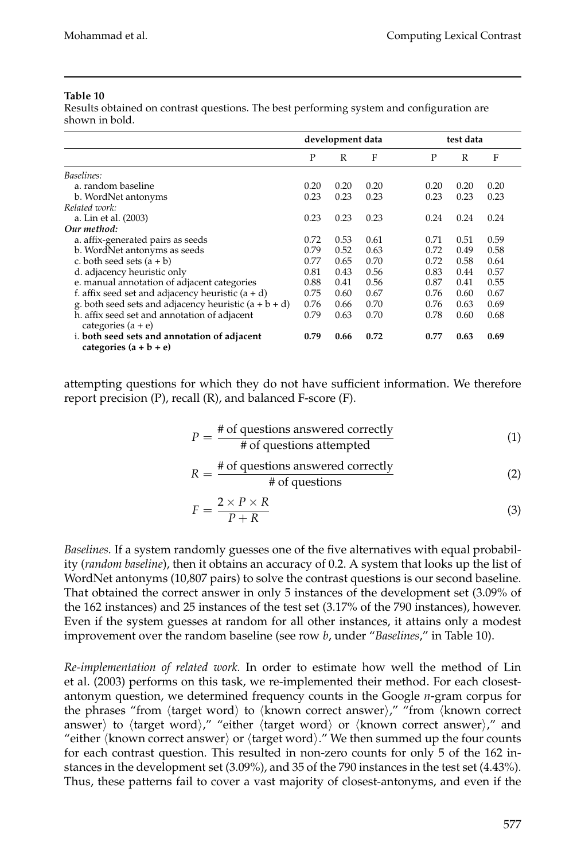Results obtained on contrast questions. The best performing system and configuration are shown in bold.

|                                                                          | development data |      |      |      | test data |      |  |
|--------------------------------------------------------------------------|------------------|------|------|------|-----------|------|--|
|                                                                          | P                | R    | F    | P    | R         | F    |  |
| Baselines:                                                               |                  |      |      |      |           |      |  |
| a. random baseline                                                       | 0.20             | 0.20 | 0.20 | 0.20 | 0.20      | 0.20 |  |
| b. WordNet antonyms                                                      | 0.23             | 0.23 | 0.23 | 0.23 | 0.23      | 0.23 |  |
| Related work:                                                            |                  |      |      |      |           |      |  |
| a. Lin et al. (2003)                                                     | 0.23             | 0.23 | 0.23 | 0.24 | 0.24      | 0.24 |  |
| Our method:                                                              |                  |      |      |      |           |      |  |
| a. affix-generated pairs as seeds                                        | 0.72             | 0.53 | 0.61 | 0.71 | 0.51      | 0.59 |  |
| b. WordNet antonyms as seeds                                             | 0.79             | 0.52 | 0.63 | 0.72 | 0.49      | 0.58 |  |
| c. both seed sets $(a + b)$                                              | 0.77             | 0.65 | 0.70 | 0.72 | 0.58      | 0.64 |  |
| d. adjacency heuristic only                                              | 0.81             | 0.43 | 0.56 | 0.83 | 0.44      | 0.57 |  |
| e. manual annotation of adjacent categories                              | 0.88             | 0.41 | 0.56 | 0.87 | 0.41      | 0.55 |  |
| f. affix seed set and adjacency heuristic $(a + d)$                      | 0.75             | 0.60 | 0.67 | 0.76 | 0.60      | 0.67 |  |
| g. both seed sets and adjacency heuristic $(a + b + d)$                  | 0.76             | 0.66 | 0.70 | 0.76 | 0.63      | 0.69 |  |
| h. affix seed set and annotation of adjacent<br>categories $(a + e)$     | 0.79             | 0.63 | 0.70 | 0.78 | 0.60      | 0.68 |  |
| i. both seed sets and annotation of adjacent<br>categories $(a + b + e)$ | 0.79             | 0.66 | 0.72 | 0.77 | 0.63      | 0.69 |  |

attempting questions for which they do not have sufficient information. We therefore report precision  $(P)$ , recall  $(R)$ , and balanced F-score  $(F)$ .

$$
P = \frac{\text{\# of questions answered correctly}}{\text{\# of questions attempted}} \tag{1}
$$

$$
R = \frac{\text{\# of questions answered correctly}}{\text{\# of questions}} \tag{2}
$$

$$
F = \frac{2 \times P \times R}{P + R} \tag{3}
$$

*Baselines.* If a system randomly guesses one of the five alternatives with equal probability (*random baseline*), then it obtains an accuracy of 0.2. A system that looks up the list of WordNet antonyms (10,807 pairs) to solve the contrast questions is our second baseline. That obtained the correct answer in only 5 instances of the development set (3.09% of the 162 instances) and 25 instances of the test set (3.17% of the 790 instances), however. Even if the system guesses at random for all other instances, it attains only a modest improvement over the random baseline (see row *b*, under "*Baselines*," in Table 10).

*Re-implementation of related work.* In order to estimate how well the method of Lin et al. (2003) performs on this task, we re-implemented their method. For each closestantonym question, we determined frequency counts in the Google *n*-gram corpus for the phrases "from (target word) to (known correct answer)," "from (known correct answer) to  $\langle$ target word $\rangle$ ," "either  $\langle$ target word $\rangle$  or  $\langle$ known correct answer $\rangle$ ," and "either  $\langle$ known correct answer $\rangle$  or  $\langle$ target word $\rangle$ ." We then summed up the four counts for each contrast question. This resulted in non-zero counts for only 5 of the 162 instances in the development set (3.09%), and 35 of the 790 instances in the test set (4.43%). Thus, these patterns fail to cover a vast majority of closest-antonyms, and even if the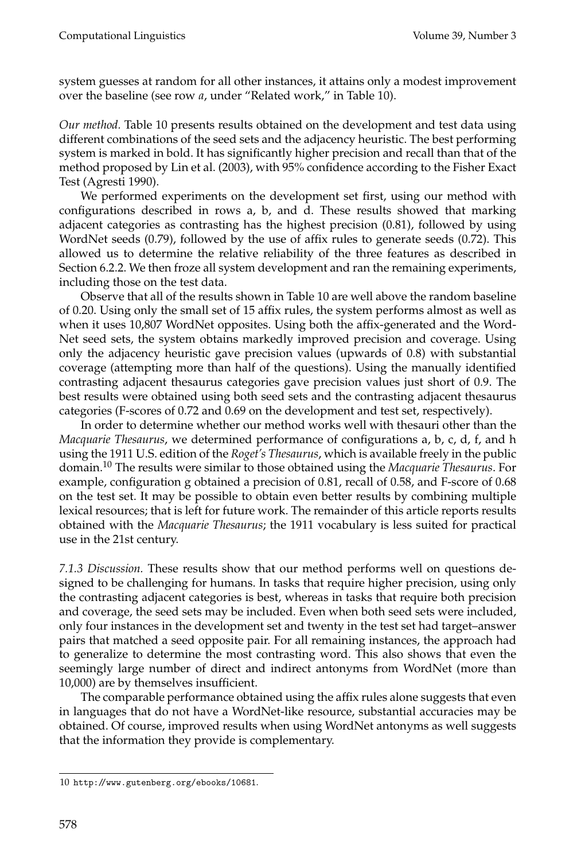system guesses at random for all other instances, it attains only a modest improvement over the baseline (see row *a*, under "Related work," in Table 10).

*Our method.* Table 10 presents results obtained on the development and test data using different combinations of the seed sets and the adjacency heuristic. The best performing system is marked in bold. It has significantly higher precision and recall than that of the method proposed by Lin et al. (2003), with 95% confidence according to the Fisher Exact Test (Agresti 1990).

We performed experiments on the development set first, using our method with configurations described in rows a, b, and d. These results showed that marking adjacent categories as contrasting has the highest precision (0.81), followed by using WordNet seeds (0.79), followed by the use of affix rules to generate seeds (0.72). This allowed us to determine the relative reliability of the three features as described in Section 6.2.2. We then froze all system development and ran the remaining experiments, including those on the test data.

Observe that all of the results shown in Table 10 are well above the random baseline of 0.20. Using only the small set of 15 affix rules, the system performs almost as well as when it uses 10,807 WordNet opposites. Using both the affix-generated and the Word-Net seed sets, the system obtains markedly improved precision and coverage. Using only the adjacency heuristic gave precision values (upwards of 0.8) with substantial coverage (attempting more than half of the questions). Using the manually identified contrasting adjacent thesaurus categories gave precision values just short of 0.9. The best results were obtained using both seed sets and the contrasting adjacent thesaurus categories (F-scores of 0.72 and 0.69 on the development and test set, respectively).

In order to determine whether our method works well with thesauri other than the *Macquarie Thesaurus*, we determined performance of configurations a, b, c, d, f, and h using the 1911 U.S. edition of the *Roget's Thesaurus*, which is available freely in the public domain.<sup>10</sup> The results were similar to those obtained using the *Macquarie Thesaurus*. For example, configuration g obtained a precision of 0.81, recall of 0.58, and F-score of 0.68 on the test set. It may be possible to obtain even better results by combining multiple lexical resources; that is left for future work. The remainder of this article reports results obtained with the *Macquarie Thesaurus*; the 1911 vocabulary is less suited for practical use in the 21st century.

*7.1.3 Discussion.* These results show that our method performs well on questions designed to be challenging for humans. In tasks that require higher precision, using only the contrasting adjacent categories is best, whereas in tasks that require both precision and coverage, the seed sets may be included. Even when both seed sets were included, only four instances in the development set and twenty in the test set had target–answer pairs that matched a seed opposite pair. For all remaining instances, the approach had to generalize to determine the most contrasting word. This also shows that even the seemingly large number of direct and indirect antonyms from WordNet (more than 10,000) are by themselves insufficient.

The comparable performance obtained using the affix rules alone suggests that even in languages that do not have a WordNet-like resource, substantial accuracies may be obtained. Of course, improved results when using WordNet antonyms as well suggests that the information they provide is complementary.

<sup>10</sup> http://www.gutenberg.org/ebooks/10681.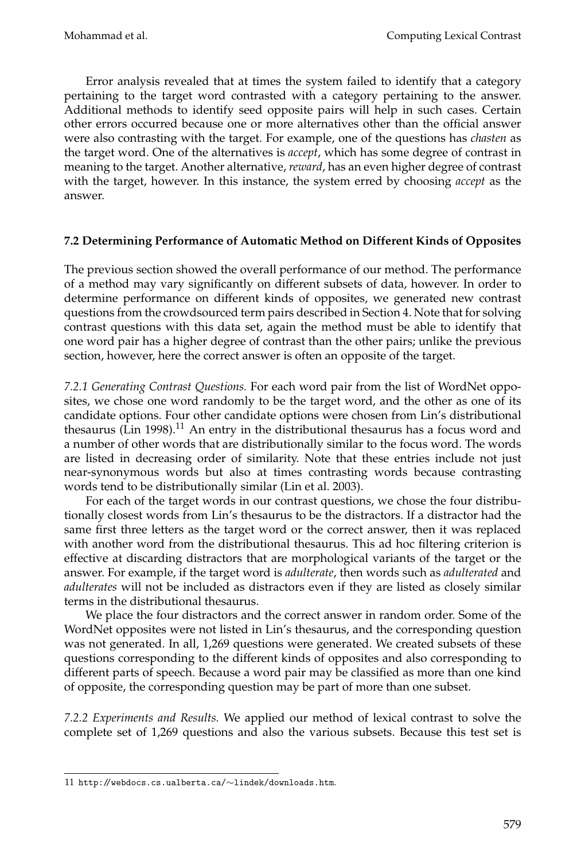Error analysis revealed that at times the system failed to identify that a category pertaining to the target word contrasted with a category pertaining to the answer. Additional methods to identify seed opposite pairs will help in such cases. Certain other errors occurred because one or more alternatives other than the official answer were also contrasting with the target. For example, one of the questions has *chasten* as the target word. One of the alternatives is *accept*, which has some degree of contrast in meaning to the target. Another alternative, *reward*, has an even higher degree of contrast with the target, however. In this instance, the system erred by choosing *accept* as the answer.

## **7.2 Determining Performance of Automatic Method on Different Kinds of Opposites**

The previous section showed the overall performance of our method. The performance of a method may vary significantly on different subsets of data, however. In order to determine performance on different kinds of opposites, we generated new contrast questions from the crowdsourced term pairs described in Section 4. Note that for solving contrast questions with this data set, again the method must be able to identify that one word pair has a higher degree of contrast than the other pairs; unlike the previous section, however, here the correct answer is often an opposite of the target.

*7.2.1 Generating Contrast Questions.* For each word pair from the list of WordNet opposites, we chose one word randomly to be the target word, and the other as one of its candidate options. Four other candidate options were chosen from Lin's distributional thesaurus (Lin 1998).<sup>11</sup> An entry in the distributional thesaurus has a focus word and a number of other words that are distributionally similar to the focus word. The words are listed in decreasing order of similarity. Note that these entries include not just near-synonymous words but also at times contrasting words because contrasting words tend to be distributionally similar (Lin et al. 2003).

For each of the target words in our contrast questions, we chose the four distributionally closest words from Lin's thesaurus to be the distractors. If a distractor had the same first three letters as the target word or the correct answer, then it was replaced with another word from the distributional thesaurus. This ad hoc filtering criterion is effective at discarding distractors that are morphological variants of the target or the answer. For example, if the target word is *adulterate*, then words such as *adulterated* and *adulterates* will not be included as distractors even if they are listed as closely similar terms in the distributional thesaurus.

We place the four distractors and the correct answer in random order. Some of the WordNet opposites were not listed in Lin's thesaurus, and the corresponding question was not generated. In all, 1,269 questions were generated. We created subsets of these questions corresponding to the different kinds of opposites and also corresponding to different parts of speech. Because a word pair may be classified as more than one kind of opposite, the corresponding question may be part of more than one subset.

*7.2.2 Experiments and Results.* We applied our method of lexical contrast to solve the complete set of 1,269 questions and also the various subsets. Because this test set is

<sup>11</sup> http://webdocs.cs.ualberta.ca/∼lindek/downloads.htm.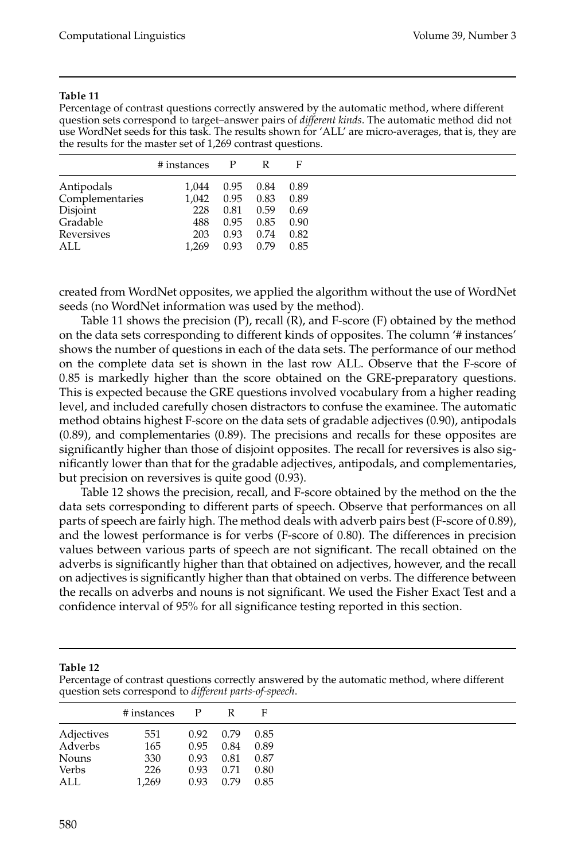Percentage of contrast questions correctly answered by the automatic method, where different question sets correspond to target–answer pairs of *different kinds*. The automatic method did not use WordNet seeds for this task. The results shown for 'ALL' are micro-averages, that is, they are the results for the master set of 1,269 contrast questions.

| # instances | P    |      | F    |
|-------------|------|------|------|
| 1.044       | 0.95 | 0.84 | 0.89 |
| 1.042       | 0.95 | 0.83 | 0.89 |
| 228         | 0.81 | 0.59 | 0.69 |
| 488         | 0.95 | 0.85 | 0.90 |
| 203         | 0.93 | 0.74 | 0.82 |
| 1.269       | 0.93 | 0.79 | 0.85 |
|             |      |      |      |

created from WordNet opposites, we applied the algorithm without the use of WordNet seeds (no WordNet information was used by the method).

Table 11 shows the precision (P), recall (R), and F-score (F) obtained by the method on the data sets corresponding to different kinds of opposites. The column '# instances' shows the number of questions in each of the data sets. The performance of our method on the complete data set is shown in the last row ALL. Observe that the F-score of 0.85 is markedly higher than the score obtained on the GRE-preparatory questions. This is expected because the GRE questions involved vocabulary from a higher reading level, and included carefully chosen distractors to confuse the examinee. The automatic method obtains highest F-score on the data sets of gradable adjectives (0.90), antipodals (0.89), and complementaries (0.89). The precisions and recalls for these opposites are significantly higher than those of disjoint opposites. The recall for reversives is also significantly lower than that for the gradable adjectives, antipodals, and complementaries, but precision on reversives is quite good (0.93).

Table 12 shows the precision, recall, and F-score obtained by the method on the the data sets corresponding to different parts of speech. Observe that performances on all parts of speech are fairly high. The method deals with adverb pairs best (F-score of 0.89), and the lowest performance is for verbs (F-score of 0.80). The differences in precision values between various parts of speech are not significant. The recall obtained on the adverbs is significantly higher than that obtained on adjectives, however, and the recall on adjectives is significantly higher than that obtained on verbs. The difference between the recalls on adverbs and nouns is not significant. We used the Fisher Exact Test and a confidence interval of 95% for all significance testing reported in this section.

**Table 12**

Percentage of contrast questions correctly answered by the automatic method, where different question sets correspond to *different parts-of-speech*.

|              | # instances | P    | R    | F    |
|--------------|-------------|------|------|------|
| Adjectives   | 551         | 0.92 | 0.79 | 0.85 |
| Adverbs      | 165         | 0.95 | 0.84 | 0.89 |
| <b>Nouns</b> | 330         | 0.93 | 0.81 | 0.87 |
| Verbs        | 226         | 0.93 | 0.71 | 0.80 |
| ALL          | 1,269       | 0.93 | 0.79 | 0.85 |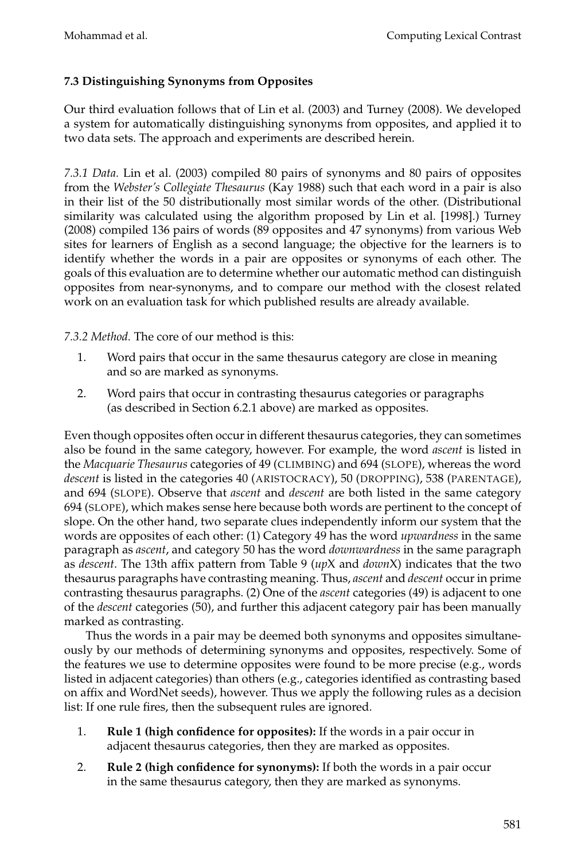## **7.3 Distinguishing Synonyms from Opposites**

Our third evaluation follows that of Lin et al. (2003) and Turney (2008). We developed a system for automatically distinguishing synonyms from opposites, and applied it to two data sets. The approach and experiments are described herein.

*7.3.1 Data.* Lin et al. (2003) compiled 80 pairs of synonyms and 80 pairs of opposites from the *Webster's Collegiate Thesaurus* (Kay 1988) such that each word in a pair is also in their list of the 50 distributionally most similar words of the other. (Distributional similarity was calculated using the algorithm proposed by Lin et al. [1998].) Turney (2008) compiled 136 pairs of words (89 opposites and 47 synonyms) from various Web sites for learners of English as a second language; the objective for the learners is to identify whether the words in a pair are opposites or synonyms of each other. The goals of this evaluation are to determine whether our automatic method can distinguish opposites from near-synonyms, and to compare our method with the closest related work on an evaluation task for which published results are already available.

*7.3.2 Method.* The core of our method is this:

- 1. Word pairs that occur in the same thesaurus category are close in meaning and so are marked as synonyms.
- 2. Word pairs that occur in contrasting thesaurus categories or paragraphs (as described in Section 6.2.1 above) are marked as opposites.

Even though opposites often occur in different thesaurus categories, they can sometimes also be found in the same category, however. For example, the word *ascent* is listed in the *Macquarie Thesaurus* categories of 49 (CLIMBING) and 694 (SLOPE), whereas the word *descent* is listed in the categories 40 (ARISTOCRACY), 50 (DROPPING), 538 (PARENTAGE), and 694 (SLOPE). Observe that *ascent* and *descent* are both listed in the same category 694 (SLOPE), which makes sense here because both words are pertinent to the concept of slope. On the other hand, two separate clues independently inform our system that the words are opposites of each other: (1) Category 49 has the word *upwardness* in the same paragraph as *ascent*, and category 50 has the word *downwardness* in the same paragraph as *descent*. The 13th affix pattern from Table 9 (*up*X and *down*X) indicates that the two thesaurus paragraphs have contrasting meaning. Thus, *ascent* and *descent* occur in prime contrasting thesaurus paragraphs. (2) One of the *ascent* categories (49) is adjacent to one of the *descent* categories (50), and further this adjacent category pair has been manually marked as contrasting.

Thus the words in a pair may be deemed both synonyms and opposites simultaneously by our methods of determining synonyms and opposites, respectively. Some of the features we use to determine opposites were found to be more precise (e.g., words listed in adjacent categories) than others (e.g., categories identified as contrasting based on affix and WordNet seeds), however. Thus we apply the following rules as a decision list: If one rule fires, then the subsequent rules are ignored.

- 1. **Rule 1 (high confidence for opposites):** If the words in a pair occur in adjacent thesaurus categories, then they are marked as opposites.
- 2. **Rule 2 (high confidence for synonyms):** If both the words in a pair occur in the same thesaurus category, then they are marked as synonyms.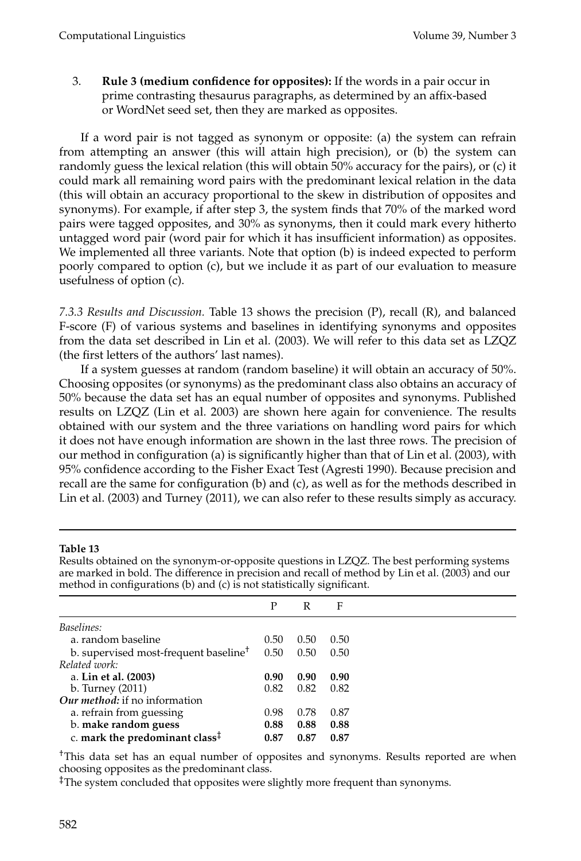3. **Rule 3 (medium confidence for opposites):** If the words in a pair occur in prime contrasting thesaurus paragraphs, as determined by an affix-based or WordNet seed set, then they are marked as opposites.

If a word pair is not tagged as synonym or opposite: (a) the system can refrain from attempting an answer (this will attain high precision), or (b) the system can randomly guess the lexical relation (this will obtain 50% accuracy for the pairs), or (c) it could mark all remaining word pairs with the predominant lexical relation in the data (this will obtain an accuracy proportional to the skew in distribution of opposites and synonyms). For example, if after step 3, the system finds that 70% of the marked word pairs were tagged opposites, and 30% as synonyms, then it could mark every hitherto untagged word pair (word pair for which it has insufficient information) as opposites. We implemented all three variants. Note that option (b) is indeed expected to perform poorly compared to option (c), but we include it as part of our evaluation to measure usefulness of option (c).

*7.3.3 Results and Discussion.* Table 13 shows the precision (P), recall (R), and balanced F-score (F) of various systems and baselines in identifying synonyms and opposites from the data set described in Lin et al. (2003). We will refer to this data set as LZQZ (the first letters of the authors' last names).

If a system guesses at random (random baseline) it will obtain an accuracy of 50%. Choosing opposites (or synonyms) as the predominant class also obtains an accuracy of 50% because the data set has an equal number of opposites and synonyms. Published results on LZQZ (Lin et al. 2003) are shown here again for convenience. The results obtained with our system and the three variations on handling word pairs for which it does not have enough information are shown in the last three rows. The precision of our method in configuration (a) is significantly higher than that of Lin et al. (2003), with 95% confidence according to the Fisher Exact Test (Agresti 1990). Because precision and recall are the same for configuration (b) and (c), as well as for the methods described in Lin et al. (2003) and Turney (2011), we can also refer to these results simply as accuracy.

## **Table 13**

Results obtained on the synonym-or-opposite questions in LZQZ. The best performing systems are marked in bold. The difference in precision and recall of method by Lin et al. (2003) and our method in configurations (b) and (c) is not statistically significant.

|                                                         | P    | R    | F    |
|---------------------------------------------------------|------|------|------|
| Baselines:                                              |      |      |      |
| a. random baseline                                      | 0.50 | 0.50 | 0.50 |
| b. supervised most-frequent baseline <sup>†</sup>       | 0.50 | 0.50 | 0.50 |
| Related work:                                           |      |      |      |
| a. Lin et al. (2003)                                    | 0.90 | 0.90 | 0.90 |
| b. Turney (2011)                                        | 0.82 | 0.82 | 0.82 |
| Our method: if no information                           |      |      |      |
| a. refrain from guessing                                | 0.98 | 0.78 | 0.87 |
| b. make random guess                                    | 0.88 | 0.88 | 0.88 |
| c. mark the predominant class <sup><math>‡</math></sup> | 0.87 | 0.87 | 0.87 |

†This data set has an equal number of opposites and synonyms. Results reported are when choosing opposites as the predominant class.

‡The system concluded that opposites were slightly more frequent than synonyms.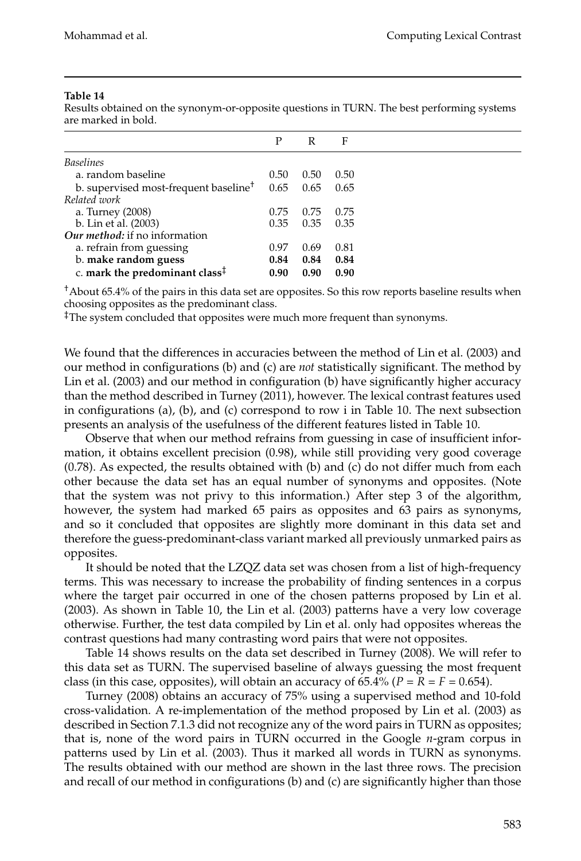|                                                         | P    | R    | F    |  |
|---------------------------------------------------------|------|------|------|--|
| <b>Baselines</b>                                        |      |      |      |  |
| a. random baseline                                      | 0.50 | 0.50 | 0.50 |  |
| b. supervised most-frequent baseline <sup>†</sup>       | 0.65 | 0.65 | 0.65 |  |
| Related work                                            |      |      |      |  |
| a. Turney (2008)                                        | 0.75 | 0.75 | 0.75 |  |
| b. Lin et al. (2003)                                    | 0.35 | 0.35 | 0.35 |  |
| Our method: if no information                           |      |      |      |  |
| a. refrain from guessing                                | 0.97 | 0.69 | 0.81 |  |
| b. make random guess                                    | 0.84 | 0.84 | 0.84 |  |
| c. mark the predominant class <sup><math>‡</math></sup> | 0.90 | 0.90 | 0.90 |  |

Results obtained on the synonym-or-opposite questions in TURN. The best performing systems are marked in bold.

†About 65.4% of the pairs in this data set are opposites. So this row reports baseline results when choosing opposites as the predominant class.

‡The system concluded that opposites were much more frequent than synonyms.

We found that the differences in accuracies between the method of Lin et al. (2003) and our method in configurations (b) and (c) are *not* statistically significant. The method by Lin et al. (2003) and our method in configuration (b) have significantly higher accuracy than the method described in Turney (2011), however. The lexical contrast features used in configurations (a), (b), and (c) correspond to row i in Table 10. The next subsection presents an analysis of the usefulness of the different features listed in Table 10.

Observe that when our method refrains from guessing in case of insufficient information, it obtains excellent precision (0.98), while still providing very good coverage (0.78). As expected, the results obtained with (b) and (c) do not differ much from each other because the data set has an equal number of synonyms and opposites. (Note that the system was not privy to this information.) After step 3 of the algorithm, however, the system had marked 65 pairs as opposites and 63 pairs as synonyms, and so it concluded that opposites are slightly more dominant in this data set and therefore the guess-predominant-class variant marked all previously unmarked pairs as opposites.

It should be noted that the LZQZ data set was chosen from a list of high-frequency terms. This was necessary to increase the probability of finding sentences in a corpus where the target pair occurred in one of the chosen patterns proposed by Lin et al. (2003). As shown in Table 10, the Lin et al. (2003) patterns have a very low coverage otherwise. Further, the test data compiled by Lin et al. only had opposites whereas the contrast questions had many contrasting word pairs that were not opposites.

Table 14 shows results on the data set described in Turney (2008). We will refer to this data set as TURN. The supervised baseline of always guessing the most frequent class (in this case, opposites), will obtain an accuracy of 65.4% ( $P = R = F = 0.654$ ).

Turney (2008) obtains an accuracy of 75% using a supervised method and 10-fold cross-validation. A re-implementation of the method proposed by Lin et al. (2003) as described in Section 7.1.3 did not recognize any of the word pairs in TURN as opposites; that is, none of the word pairs in TURN occurred in the Google *n*-gram corpus in patterns used by Lin et al. (2003). Thus it marked all words in TURN as synonyms. The results obtained with our method are shown in the last three rows. The precision and recall of our method in configurations (b) and (c) are significantly higher than those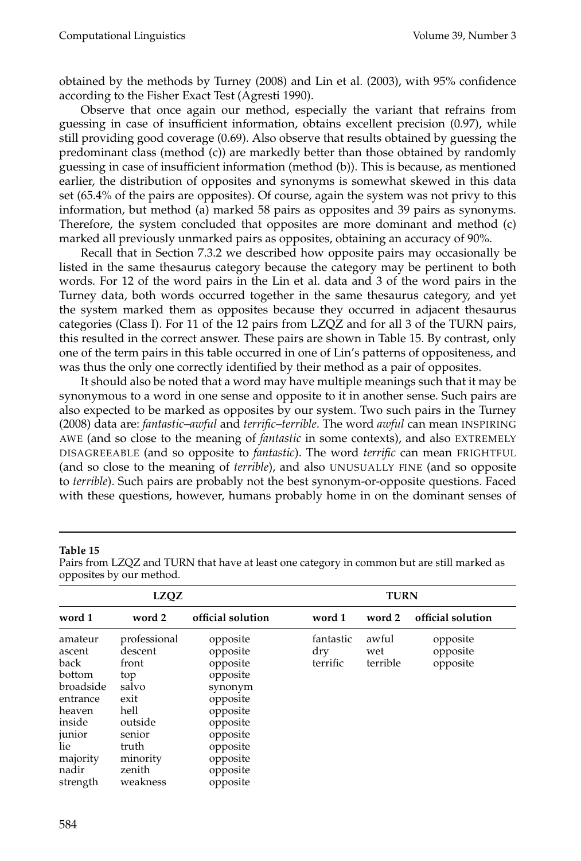obtained by the methods by Turney (2008) and Lin et al. (2003), with 95% confidence according to the Fisher Exact Test (Agresti 1990).

Observe that once again our method, especially the variant that refrains from guessing in case of insufficient information, obtains excellent precision (0.97), while still providing good coverage (0.69). Also observe that results obtained by guessing the predominant class (method (c)) are markedly better than those obtained by randomly guessing in case of insufficient information (method (b)). This is because, as mentioned earlier, the distribution of opposites and synonyms is somewhat skewed in this data set (65.4% of the pairs are opposites). Of course, again the system was not privy to this information, but method (a) marked 58 pairs as opposites and 39 pairs as synonyms. Therefore, the system concluded that opposites are more dominant and method (c) marked all previously unmarked pairs as opposites, obtaining an accuracy of 90%.

Recall that in Section 7.3.2 we described how opposite pairs may occasionally be listed in the same thesaurus category because the category may be pertinent to both words. For 12 of the word pairs in the Lin et al. data and 3 of the word pairs in the Turney data, both words occurred together in the same thesaurus category, and yet the system marked them as opposites because they occurred in adjacent thesaurus categories (Class I). For 11 of the 12 pairs from LZQZ and for all 3 of the TURN pairs, this resulted in the correct answer. These pairs are shown in Table 15. By contrast, only one of the term pairs in this table occurred in one of Lin's patterns of oppositeness, and was thus the only one correctly identified by their method as a pair of opposites.

It should also be noted that a word may have multiple meanings such that it may be synonymous to a word in one sense and opposite to it in another sense. Such pairs are also expected to be marked as opposites by our system. Two such pairs in the Turney (2008) data are: *fantastic*–*awful* and *terrific*–*terrible*. The word *awful* can mean INSPIRING AWE (and so close to the meaning of *fantastic* in some contexts), and also EXTREMELY DISAGREEABLE (and so opposite to *fantastic*). The word *terrific* can mean FRIGHTFUL (and so close to the meaning of *terrible*), and also UNUSUALLY FINE (and so opposite to *terrible*). Such pairs are probably not the best synonym-or-opposite questions. Faced with these questions, however, humans probably home in on the dominant senses of

|                                                                                                                                    | LZQZ                                                                                                                             |                                                                                                                                                         | <b>TURN</b>                  |                          |                                  |  |  |
|------------------------------------------------------------------------------------------------------------------------------------|----------------------------------------------------------------------------------------------------------------------------------|---------------------------------------------------------------------------------------------------------------------------------------------------------|------------------------------|--------------------------|----------------------------------|--|--|
| word 1                                                                                                                             | word 2                                                                                                                           | official solution                                                                                                                                       | word 1                       | word 2                   | official solution                |  |  |
| amateur<br>ascent<br>back<br>bottom<br>broadside<br>entrance<br>heaven<br>inside<br>junior<br>lie<br>majority<br>nadir<br>strength | professional<br>descent<br>front<br>top<br>salvo<br>exit<br>hell<br>outside<br>senior<br>truth<br>minority<br>zenith<br>weakness | opposite<br>opposite<br>opposite<br>opposite<br>synonym<br>opposite<br>opposite<br>opposite<br>opposite<br>opposite<br>opposite<br>opposite<br>opposite | fantastic<br>dry<br>terrific | awful<br>wet<br>terrible | opposite<br>opposite<br>opposite |  |  |

**Table 15**

Pairs from LZQZ and TURN that have at least one category in common but are still marked as opposites by our method.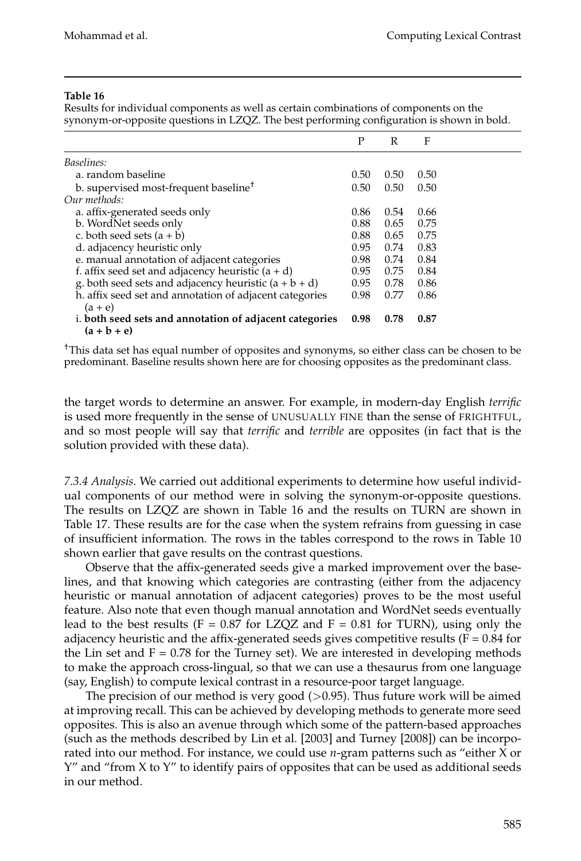Results for individual components as well as certain combinations of components on the synonym-or-opposite questions in LZQZ. The best performing configuration is shown in bold.

|                                                                          | P    | R    | F    |  |
|--------------------------------------------------------------------------|------|------|------|--|
| Baselines:                                                               |      |      |      |  |
| a. random baseline                                                       | 0.50 | 0.50 | 0.50 |  |
| b. supervised most-frequent baseline <sup>†</sup>                        | 0.50 | 0.50 | 0.50 |  |
| Our methods:                                                             |      |      |      |  |
| a. affix-generated seeds only                                            | 0.86 | 0.54 | 0.66 |  |
| b. WordNet seeds only                                                    | 0.88 | 0.65 | 0.75 |  |
| c. both seed sets $(a + b)$                                              | 0.88 | 0.65 | 0.75 |  |
| d. adjacency heuristic only                                              | 0.95 | 0.74 | 0.83 |  |
| e. manual annotation of adjacent categories                              | 0.98 | 0.74 | 0.84 |  |
| f. affix seed set and adjacency heuristic $(a + d)$                      | 0.95 | 0.75 | 0.84 |  |
| g. both seed sets and adjacency heuristic $(a + b + d)$                  | 0.95 | 0.78 | 0.86 |  |
| h. affix seed set and annotation of adjacent categories<br>$(a + e)$     | 0.98 | 0.77 | 0.86 |  |
| i. both seed sets and annotation of adjacent categories<br>$(a + b + e)$ | 0.98 | 0.78 | 0.87 |  |

†This data set has equal number of opposites and synonyms, so either class can be chosen to be predominant. Baseline results shown here are for choosing opposites as the predominant class.

the target words to determine an answer. For example, in modern-day English *terrific* is used more frequently in the sense of UNUSUALLY FINE than the sense of FRIGHTFUL, and so most people will say that *terrific* and *terrible* are opposites (in fact that is the solution provided with these data).

*7.3.4 Analysis.* We carried out additional experiments to determine how useful individual components of our method were in solving the synonym-or-opposite questions. The results on LZQZ are shown in Table 16 and the results on TURN are shown in Table 17. These results are for the case when the system refrains from guessing in case of insufficient information. The rows in the tables correspond to the rows in Table 10 shown earlier that gave results on the contrast questions.

Observe that the affix-generated seeds give a marked improvement over the baselines, and that knowing which categories are contrasting (either from the adjacency heuristic or manual annotation of adjacent categories) proves to be the most useful feature. Also note that even though manual annotation and WordNet seeds eventually lead to the best results (F = 0.87 for LZQZ and F = 0.81 for TURN), using only the adjacency heuristic and the affix-generated seeds gives competitive results ( $F = 0.84$  for the Lin set and  $F = 0.78$  for the Turney set). We are interested in developing methods to make the approach cross-lingual, so that we can use a thesaurus from one language (say, English) to compute lexical contrast in a resource-poor target language.

The precision of our method is very good  $(>0.95)$ . Thus future work will be aimed at improving recall. This can be achieved by developing methods to generate more seed opposites. This is also an avenue through which some of the pattern-based approaches (such as the methods described by Lin et al. [2003] and Turney [2008]) can be incorporated into our method. For instance, we could use *n*-gram patterns such as "either X or  $Y''$  and "from X to  $Y''$  to identify pairs of opposites that can be used as additional seeds in our method.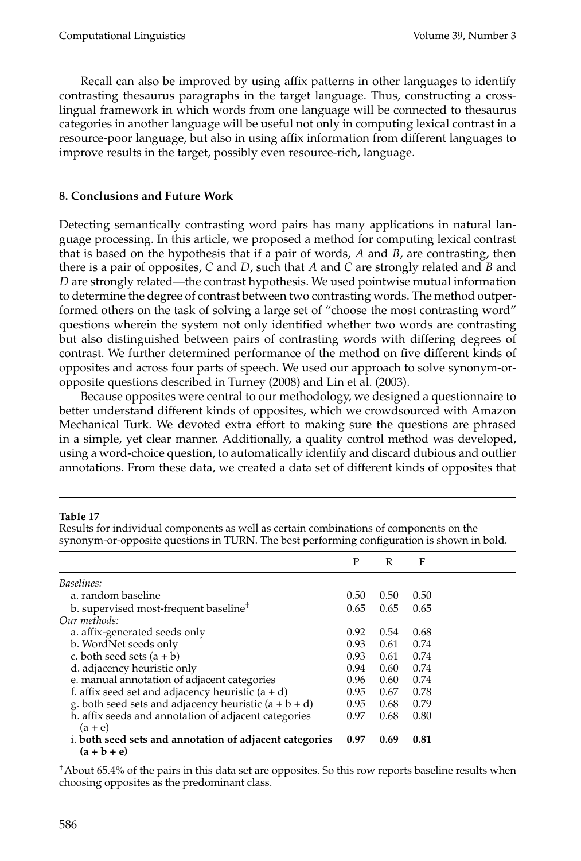Recall can also be improved by using affix patterns in other languages to identify contrasting thesaurus paragraphs in the target language. Thus, constructing a crosslingual framework in which words from one language will be connected to thesaurus categories in another language will be useful not only in computing lexical contrast in a resource-poor language, but also in using affix information from different languages to improve results in the target, possibly even resource-rich, language.

## **8. Conclusions and Future Work**

Detecting semantically contrasting word pairs has many applications in natural language processing. In this article, we proposed a method for computing lexical contrast that is based on the hypothesis that if a pair of words, *A* and *B*, are contrasting, then there is a pair of opposites, *C* and *D*, such that *A* and *C* are strongly related and *B* and *D* are strongly related—the contrast hypothesis. We used pointwise mutual information to determine the degree of contrast between two contrasting words. The method outperformed others on the task of solving a large set of "choose the most contrasting word" questions wherein the system not only identified whether two words are contrasting but also distinguished between pairs of contrasting words with differing degrees of contrast. We further determined performance of the method on five different kinds of opposites and across four parts of speech. We used our approach to solve synonym-oropposite questions described in Turney (2008) and Lin et al. (2003).

Because opposites were central to our methodology, we designed a questionnaire to better understand different kinds of opposites, which we crowdsourced with Amazon Mechanical Turk. We devoted extra effort to making sure the questions are phrased in a simple, yet clear manner. Additionally, a quality control method was developed, using a word-choice question, to automatically identify and discard dubious and outlier annotations. From these data, we created a data set of different kinds of opposites that

## **Table 17**

|                                                         | P    | R    | F    |  |
|---------------------------------------------------------|------|------|------|--|
| Baselines:                                              |      |      |      |  |
| a. random baseline                                      | 0.50 | 0.50 | 0.50 |  |
| b. supervised most-frequent baseline <sup>†</sup>       | 0.65 | 0.65 | 0.65 |  |
| Our methods:                                            |      |      |      |  |
| a. affix-generated seeds only                           | 0.92 | 0.54 | 0.68 |  |
| b. WordNet seeds only                                   | 0.93 | 0.61 | 0.74 |  |
| c. both seed sets $(a + b)$                             | 0.93 | 0.61 | 0.74 |  |
| d. adjacency heuristic only                             | 0.94 | 0.60 | 0.74 |  |
| e. manual annotation of adjacent categories             | 0.96 | 0.60 | 0.74 |  |
| f. affix seed set and adjacency heuristic $(a + d)$     | 0.95 | 0.67 | 0.78 |  |
| g. both seed sets and adjacency heuristic $(a + b + d)$ | 0.95 | 0.68 | 0.79 |  |
| h. affix seeds and annotation of adjacent categories    | 0.97 | 0.68 | 0.80 |  |
| $(a + e)$                                               |      |      |      |  |
| i. both seed sets and annotation of adjacent categories | 0.97 | 0.69 | 0.81 |  |
| $(a + b + e)$                                           |      |      |      |  |

Results for individual components as well as certain combinations of components on the synonym-or-opposite questions in TURN. The best performing configuration is shown in bold.

†About 65.4% of the pairs in this data set are opposites. So this row reports baseline results when choosing opposites as the predominant class.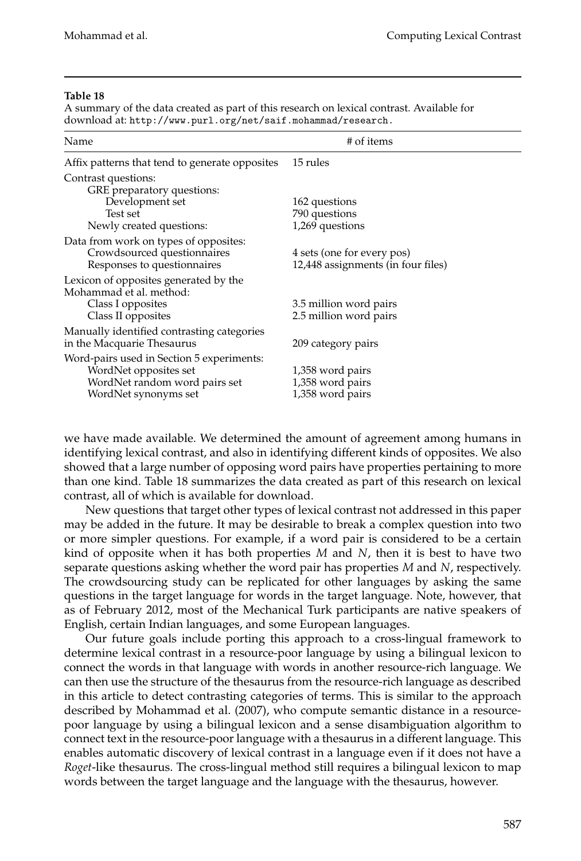A summary of the data created as part of this research on lexical contrast. Available for download at: http://www.purl.org/net/saif.mohammad/research.

| Name                                                                                                                        | # of items                                                       |
|-----------------------------------------------------------------------------------------------------------------------------|------------------------------------------------------------------|
| Affix patterns that tend to generate opposites                                                                              | 15 rules                                                         |
| Contrast questions:<br>GRE preparatory questions:<br>Development set<br>Test set<br>Newly created questions:                | 162 questions<br>790 questions<br>1,269 questions                |
| Data from work on types of opposites:<br>Crowdsourced questionnaires<br>Responses to questionnaires                         | 4 sets (one for every pos)<br>12,448 assignments (in four files) |
| Lexicon of opposites generated by the<br>Mohammad et al. method:<br>Class I opposites<br>Class II opposites                 | 3.5 million word pairs<br>2.5 million word pairs                 |
| Manually identified contrasting categories<br>in the Macquarie Thesaurus                                                    | 209 category pairs                                               |
| Word-pairs used in Section 5 experiments:<br>WordNet opposites set<br>WordNet random word pairs set<br>WordNet synonyms set | 1,358 word pairs<br>1,358 word pairs<br>1,358 word pairs         |

we have made available. We determined the amount of agreement among humans in identifying lexical contrast, and also in identifying different kinds of opposites. We also showed that a large number of opposing word pairs have properties pertaining to more than one kind. Table 18 summarizes the data created as part of this research on lexical contrast, all of which is available for download.

New questions that target other types of lexical contrast not addressed in this paper may be added in the future. It may be desirable to break a complex question into two or more simpler questions. For example, if a word pair is considered to be a certain kind of opposite when it has both properties *M* and *N*, then it is best to have two separate questions asking whether the word pair has properties *M* and *N*, respectively. The crowdsourcing study can be replicated for other languages by asking the same questions in the target language for words in the target language. Note, however, that as of February 2012, most of the Mechanical Turk participants are native speakers of English, certain Indian languages, and some European languages.

Our future goals include porting this approach to a cross-lingual framework to determine lexical contrast in a resource-poor language by using a bilingual lexicon to connect the words in that language with words in another resource-rich language. We can then use the structure of the thesaurus from the resource-rich language as described in this article to detect contrasting categories of terms. This is similar to the approach described by Mohammad et al. (2007), who compute semantic distance in a resourcepoor language by using a bilingual lexicon and a sense disambiguation algorithm to connect text in the resource-poor language with a thesaurus in a different language. This enables automatic discovery of lexical contrast in a language even if it does not have a *Roget*-like thesaurus. The cross-lingual method still requires a bilingual lexicon to map words between the target language and the language with the thesaurus, however.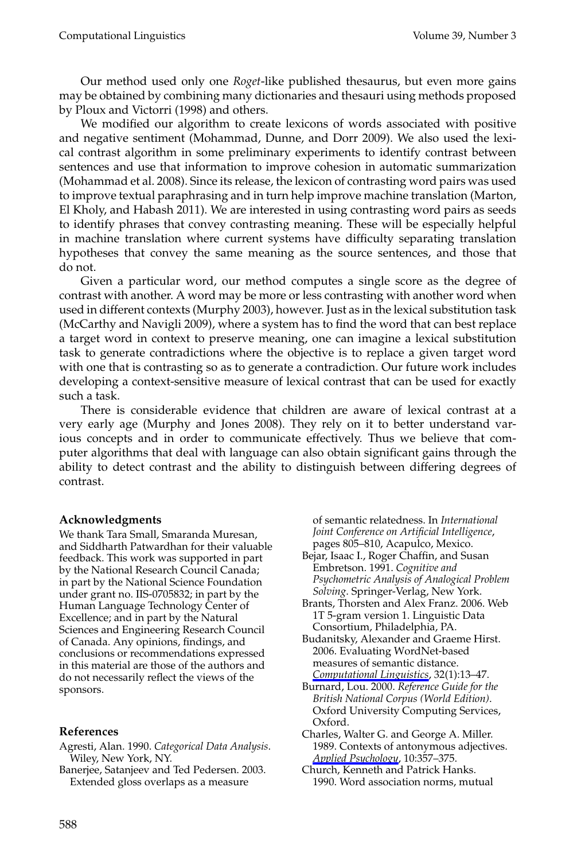Computational Linguistics Volume 39, Number 3

Our method used only one *Roget*-like published thesaurus, but even more gains may be obtained by combining many dictionaries and thesauri using methods proposed by Ploux and Victorri (1998) and others.

We modified our algorithm to create lexicons of words associated with positive and negative sentiment (Mohammad, Dunne, and Dorr 2009). We also used the lexical contrast algorithm in some preliminary experiments to identify contrast between sentences and use that information to improve cohesion in automatic summarization (Mohammad et al. 2008). Since its release, the lexicon of contrasting word pairs was used to improve textual paraphrasing and in turn help improve machine translation (Marton, El Kholy, and Habash 2011). We are interested in using contrasting word pairs as seeds to identify phrases that convey contrasting meaning. These will be especially helpful in machine translation where current systems have difficulty separating translation hypotheses that convey the same meaning as the source sentences, and those that do not.

Given a particular word, our method computes a single score as the degree of contrast with another. A word may be more or less contrasting with another word when used in different contexts (Murphy 2003), however. Just as in the lexical substitution task (McCarthy and Navigli 2009), where a system has to find the word that can best replace a target word in context to preserve meaning, one can imagine a lexical substitution task to generate contradictions where the objective is to replace a given target word with one that is contrasting so as to generate a contradiction. Our future work includes developing a context-sensitive measure of lexical contrast that can be used for exactly such a task.

There is considerable evidence that children are aware of lexical contrast at a very early age (Murphy and Jones 2008). They rely on it to better understand various concepts and in order to communicate effectively. Thus we believe that computer algorithms that deal with language can also obtain significant gains through the ability to detect contrast and the ability to distinguish between differing degrees of contrast.

#### **Acknowledgments**

We thank Tara Small, Smaranda Muresan, and Siddharth Patwardhan for their valuable feedback. This work was supported in part by the National Research Council Canada; in part by the National Science Foundation under grant no. IIS-0705832; in part by the Human Language Technology Center of Excellence; and in part by the Natural Sciences and Engineering Research Council of Canada. Any opinions, findings, and conclusions or recommendations expressed in this material are those of the authors and do not necessarily reflect the views of the sponsors.

#### **References**

- Agresti, Alan. 1990. *Categorical Data Analysis*. Wiley, New York, NY.
- Banerjee, Satanjeev and Ted Pedersen. 2003. Extended gloss overlaps as a measure

of semantic relatedness. In *International Joint Conference on Artificial Intelligence*, pages 805–810, Acapulco, Mexico.

- Bejar, Isaac I., Roger Chaffin, and Susan Embretson. 1991. *Cognitive and Psychometric Analysis of Analogical Problem Solving*. Springer-Verlag, New York.
- Brants, Thorsten and Alex Franz. 2006. Web 1T 5-gram version 1. Linguistic Data Consortium, Philadelphia, PA.
- Budanitsky, Alexander and Graeme Hirst. 2006. Evaluating WordNet-based measures of semantic distance. *Computational Linguistics*, 32(1):13–47.
- Burnard, Lou. 2000. *Reference Guide for the British National Corpus (World Edition)*. Oxford University Computing Services, Oxford.
- Charles, Walter G. and George A. Miller. 1989. Contexts of antonymous adjectives. *Applied Psychology*, 10:357–375.
- Church, Kenneth and Patrick Hanks. 1990. Word association norms, mutual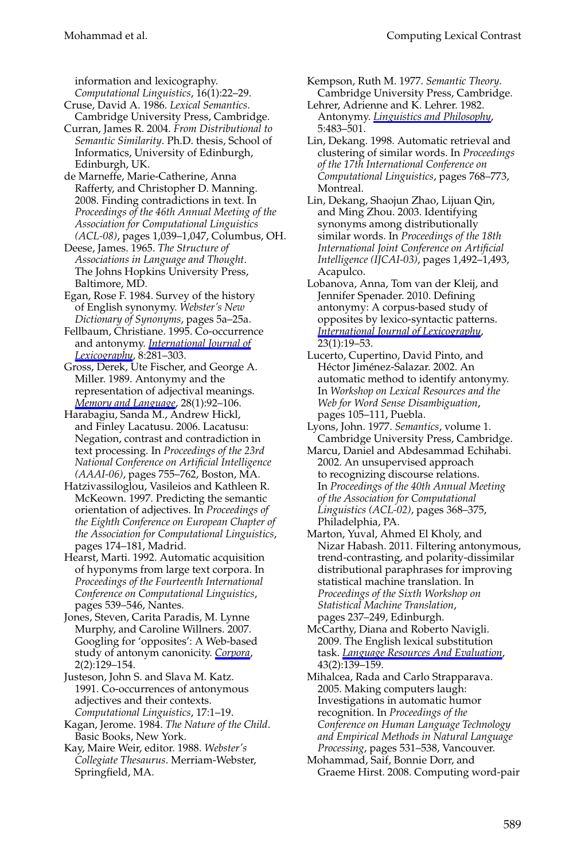information and lexicography. *Computational Linguistics*, 16(1):22–29.

- Cruse, David A. 1986. *Lexical Semantics*. Cambridge University Press, Cambridge.
- Curran, James R. 2004. *From Distributional to Semantic Similarity*. Ph.D. thesis, School of Informatics, University of Edinburgh, Edinburgh, UK.
- de Marneffe, Marie-Catherine, Anna Rafferty, and Christopher D. Manning. 2008. Finding contradictions in text. In *Proceedings of the 46th Annual Meeting of the Association for Computational Linguistics (ACL-08)*, pages 1,039–1,047, Columbus, OH.
- Deese, James. 1965. *The Structure of Associations in Language and Thought*. The Johns Hopkins University Press, Baltimore, MD.
- Egan, Rose F. 1984. Survey of the history of English synonymy. *Webster's New Dictionary of Synonyms*, pages 5a–25a.
- Fellbaum, Christiane. 1995. Co-occurrence and antonymy. *International Journal of Lexicography*, 8:281–303.

Gross, Derek, Ute Fischer, and George A. Miller. 1989. Antonymy and the representation of adjectival meanings. *Memory and Language*, 28(1):92–106.

- Harabagiu, Sanda M., Andrew Hickl, and Finley Lacatusu. 2006. Lacatusu: Negation, contrast and contradiction in text processing. In *Proceedings of the 23rd National Conference on Artificial Intelligence (AAAI-06)*, pages 755–762, Boston, MA.
- Hatzivassiloglou, Vasileios and Kathleen R. McKeown. 1997. Predicting the semantic orientation of adjectives. In *Proceedings of the Eighth Conference on European Chapter of the Association for Computational Linguistics*, pages 174–181, Madrid.
- Hearst, Marti. 1992. Automatic acquisition of hyponyms from large text corpora. In *Proceedings of the Fourteenth International Conference on Computational Linguistics*, pages 539–546, Nantes.
- Jones, Steven, Carita Paradis, M. Lynne Murphy, and Caroline Willners. 2007. Googling for 'opposites': A Web-based study of antonym canonicity. *Corpora*, 2(2):129–154.
- Justeson, John S. and Slava M. Katz. 1991. Co-occurrences of antonymous adjectives and their contexts. *Computational Linguistics*, 17:1–19.
- Kagan, Jerome. 1984. *The Nature of the Child*. Basic Books, New York.
- Kay, Maire Weir, editor. 1988. *Webster's Collegiate Thesaurus*. Merriam-Webster, Springfield, MA.

#### Mohammad et al. Computing Lexical Contrast

- Kempson, Ruth M. 1977. *Semantic Theory*. Cambridge University Press, Cambridge.
- Lehrer, Adrienne and K. Lehrer. 1982. Antonymy. *Linguistics and Philosophy*, 5:483–501.
- Lin, Dekang. 1998. Automatic retrieval and clustering of similar words. In *Proceedings of the 17th International Conference on Computational Linguistics*, pages 768–773, Montreal.
- Lin, Dekang, Shaojun Zhao, Lijuan Qin, and Ming Zhou. 2003. Identifying synonyms among distributionally similar words. In *Proceedings of the 18th International Joint Conference on Artificial Intelligence (IJCAI-03)*, pages 1,492–1,493, Acapulco.
- Lobanova, Anna, Tom van der Kleij, and Jennifer Spenader. 2010. Defining antonymy: A corpus-based study of opposites by lexico-syntactic patterns. *International Journal of Lexicography*, 23(1):19–53.
- Lucerto, Cupertino, David Pinto, and Héctor Jiménez-Salazar. 2002. An automatic method to identify antonymy. In *Workshop on Lexical Resources and the Web for Word Sense Disambiguation*, pages 105–111, Puebla.
- Lyons, John. 1977. *Semantics*, volume 1. Cambridge University Press, Cambridge.
- Marcu, Daniel and Abdesammad Echihabi. 2002. An unsupervised approach to recognizing discourse relations. In *Proceedings of the 40th Annual Meeting of the Association for Computational Linguistics (ACL-02)*, pages 368–375, Philadelphia, PA.
- Marton, Yuval, Ahmed El Kholy, and Nizar Habash. 2011. Filtering antonymous, trend-contrasting, and polarity-dissimilar distributional paraphrases for improving statistical machine translation. In *Proceedings of the Sixth Workshop on Statistical Machine Translation*, pages 237–249, Edinburgh.
- McCarthy, Diana and Roberto Navigli. 2009. The English lexical substitution task. *Language Resources And Evaluation*, 43(2):139–159.
- Mihalcea, Rada and Carlo Strapparava. 2005. Making computers laugh: Investigations in automatic humor recognition. In *Proceedings of the Conference on Human Language Technology and Empirical Methods in Natural Language Processing*, pages 531–538, Vancouver.
- Mohammad, Saif, Bonnie Dorr, and Graeme Hirst. 2008. Computing word-pair